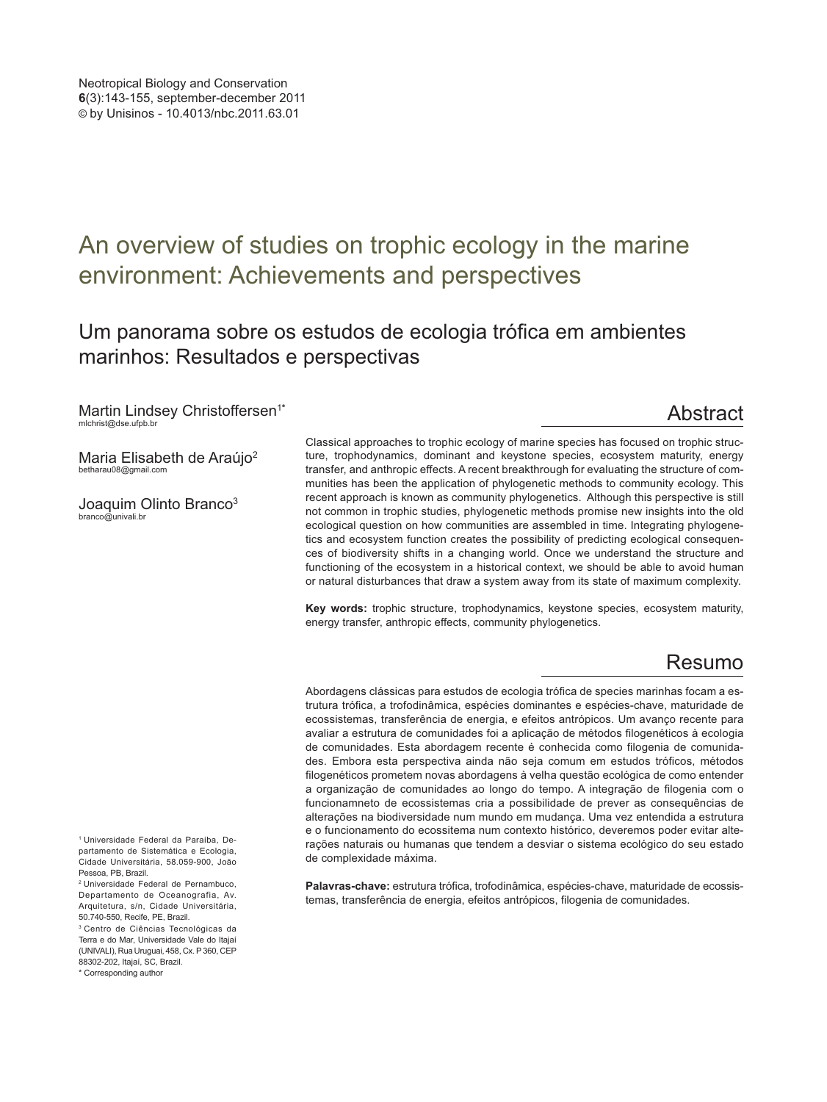# An overview of studies on trophic ecology in the marine environment: Achievements and perspectives

## Um panorama sobre os estudos de ecologia trófica em ambientes marinhos: Resultados e perspectivas

Martin Lindsey Christoffersen<sup>1\*</sup> mlchrist@dse.ufpb.br

## Abstract

Maria Elisabeth de Araújo<sup>2</sup> betharau08@gmail.com

Joaquim Olinto Branco<sup>3</sup> branco@univali.br

Classical approaches to trophic ecology of marine species has focused on trophic structure, trophodynamics, dominant and keystone species, ecosystem maturity, energy transfer, and anthropic effects. A recent breakthrough for evaluating the structure of communities has been the application of phylogenetic methods to community ecology. This recent approach is known as community phylogenetics. Although this perspective is still not common in trophic studies, phylogenetic methods promise new insights into the old ecological question on how communities are assembled in time. Integrating phylogenetics and ecosystem function creates the possibility of predicting ecological consequences of biodiversity shifts in a changing world. Once we understand the structure and functioning of the ecosystem in a historical context, we should be able to avoid human or natural disturbances that draw a system away from its state of maximum complexity.

**Key words:** trophic structure, trophodynamics, keystone species, ecosystem maturity, energy transfer, anthropic effects, community phylogenetics.

## Resumo

Abordagens clássicas para estudos de ecologia trófica de species marinhas focam a estrutura trófica, a trofodinâmica, espécies dominantes e espécies-chave, maturidade de ecossistemas, transferência de energia, e efeitos antrópicos. Um avanço recente para avaliar a estrutura de comunidades foi a aplicação de métodos filogenéticos à ecologia de comunidades. Esta abordagem recente é conhecida como filogenia de comunidades. Embora esta perspectiva ainda não seja comum em estudos tróficos, métodos filogenéticos prometem novas abordagens à velha questão ecológica de como entender a organização de comunidades ao longo do tempo. A integração de filogenia com o funcionamneto de ecossistemas cria a possibilidade de prever as consequências de alterações na biodiversidade num mundo em mudança. Uma vez entendida a estrutura e o funcionamento do ecossitema num contexto histórico, deveremos poder evitar alterações naturais ou humanas que tendem a desviar o sistema ecológico do seu estado de complexidade máxima.

**Palavras-chave:** estrutura trófica, trofodinâmica, espécies-chave, maturidade de ecossistemas, transferência de energia, efeitos antrópicos, filogenia de comunidades.

<sup>1</sup> Universidade Federal da Paraíba, Departamento de Sistemática e Ecologia, Cidade Universitária, 58.059-900, João Pessoa, PB, Brazil.

<sup>2</sup> Universidade Federal de Pernambuco, Departamento de Oceanografia, Av. Arquitetura, s/n, Cidade Universitária, 50.740-550, Recife, PE, Brazil.

<sup>3</sup> Centro de Ciências Tecnológicas da Terra e do Mar, Universidade Vale do Itajaí (UNIVALI), Rua Uruguai, 458, Cx. P 360, CEP 88302-202, Itajaí, SC, Brazil.

<sup>\*</sup> Corresponding author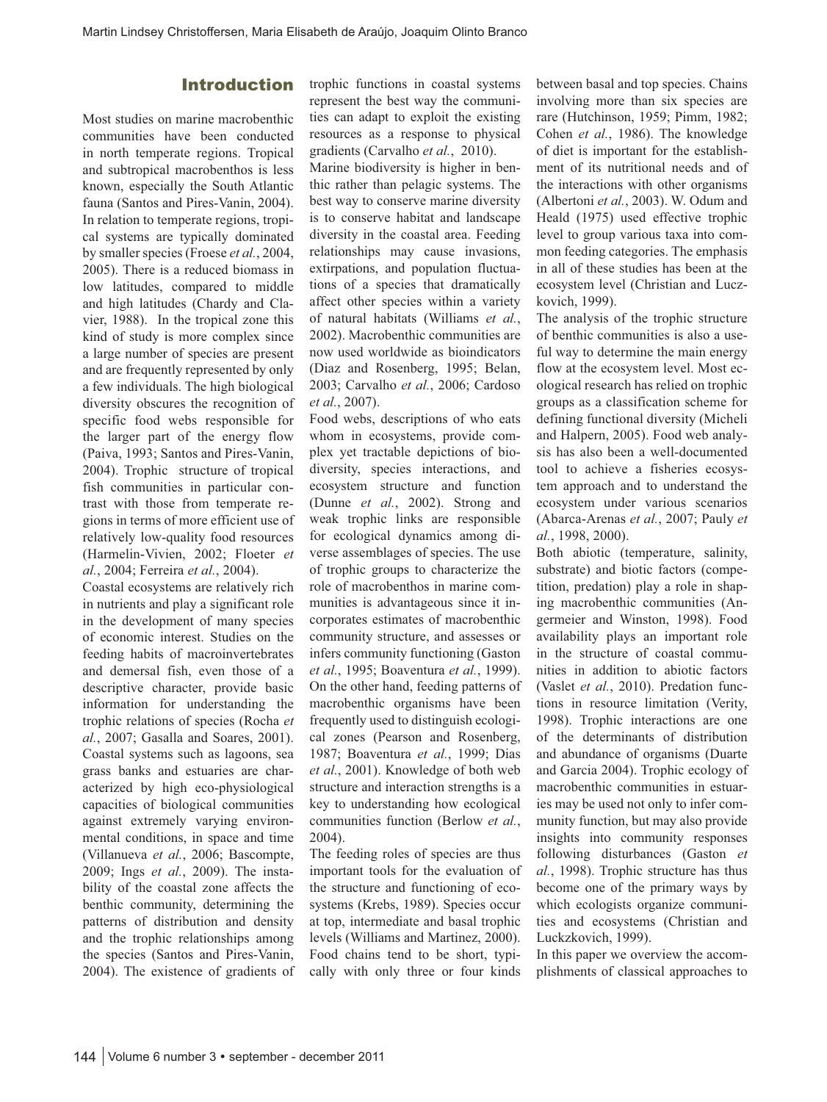#### Introduction

Most studies on marine macrobenthic communities have been conducted in north temperate regions. Tropical and subtropical macrobenthos is less known, especially the South Atlantic fauna (Santos and Pires-Vanin, 2004). In relation to temperate regions, tropical systems are typically dominated by smaller species (Froese *et al.*, 2004, 2005). There is a reduced biomass in low latitudes, compared to middle and high latitudes (Chardy and Clavier, 1988). In the tropical zone this kind of study is more complex since a large number of species are present and are frequently represented by only a few individuals. The high biological diversity obscures the recognition of specific food webs responsible for the larger part of the energy flow (Paiva, 1993; Santos and Pires-Vanin, 2004). Trophic structure of tropical fish communities in particular contrast with those from temperate regions in terms of more efficient use of relatively low-quality food resources (Harmelin-Vivien, 2002; Floeter *et al.*, 2004; Ferreira *et al.*, 2004).

Coastal ecosystems are relatively rich in nutrients and play a significant role in the development of many species of economic interest. Studies on the feeding habits of macroinvertebrates and demersal fish, even those of a descriptive character, provide basic information for understanding the trophic relations of species (Rocha *et al.*, 2007; Gasalla and Soares, 2001). Coastal systems such as lagoons, sea grass banks and estuaries are characterized by high eco-physiological capacities of biological communities against extremely varying environmental conditions, in space and time (Villanueva *et al.*, 2006; Bascompte, 2009; Ings *et al.*, 2009). The instability of the coastal zone affects the benthic community, determining the patterns of distribution and density and the trophic relationships among the species (Santos and Pires-Vanin, 2004). The existence of gradients of

trophic functions in coastal systems represent the best way the communities can adapt to exploit the existing resources as a response to physical gradients (Carvalho *et al.*, 2010).

Marine biodiversity is higher in benthic rather than pelagic systems. The best way to conserve marine diversity is to conserve habitat and landscape diversity in the coastal area. Feeding relationships may cause invasions, extirpations, and population fluctuations of a species that dramatically affect other species within a variety of natural habitats (Williams *et al.*, 2002). Macrobenthic communities are now used worldwide as bioindicators (Diaz and Rosenberg, 1995; Belan, 2003; Carvalho *et al.*, 2006; Cardoso *et al.*, 2007).

Food webs, descriptions of who eats whom in ecosystems, provide complex yet tractable depictions of biodiversity, species interactions, and ecosystem structure and function (Dunne *et al.*, 2002). Strong and weak trophic links are responsible for ecological dynamics among diverse assemblages of species. The use of trophic groups to characterize the role of macrobenthos in marine communities is advantageous since it incorporates estimates of macrobenthic community structure, and assesses or infers community functioning (Gaston *et al.*, 1995; Boaventura *et al.*, 1999). On the other hand, feeding patterns of macrobenthic organisms have been frequently used to distinguish ecological zones (Pearson and Rosenberg, 1987; Boaventura *et al.*, 1999; Dias *et al.*, 2001). Knowledge of both web structure and interaction strengths is a key to understanding how ecological communities function (Berlow *et al.*, 2004).

The feeding roles of species are thus important tools for the evaluation of the structure and functioning of ecosystems (Krebs, 1989). Species occur at top, intermediate and basal trophic levels (Williams and Martinez, 2000). Food chains tend to be short, typically with only three or four kinds between basal and top species. Chains involving more than six species are rare (Hutchinson, 1959; Pimm, 1982; Cohen *et al.*, 1986). The knowledge of diet is important for the establishment of its nutritional needs and of the interactions with other organisms (Albertoni *et al.*, 2003). W. Odum and Heald (1975) used effective trophic level to group various taxa into common feeding categories. The emphasis in all of these studies has been at the ecosystem level (Christian and Luczkovich, 1999).

The analysis of the trophic structure of benthic communities is also a useful way to determine the main energy flow at the ecosystem level. Most ecological research has relied on trophic groups as a classification scheme for defining functional diversity (Micheli and Halpern, 2005). Food web analysis has also been a well-documented tool to achieve a fisheries ecosystem approach and to understand the ecosystem under various scenarios (Abarca-Arenas *et al.*, 2007; Pauly *et al.*, 1998, 2000).

Both abiotic (temperature, salinity, substrate) and biotic factors (competition, predation) play a role in shaping macrobenthic communities (Angermeier and Winston, 1998). Food availability plays an important role in the structure of coastal communities in addition to abiotic factors (Vaslet *et al.*, 2010). Predation functions in resource limitation (Verity, 1998). Trophic interactions are one of the determinants of distribution and abundance of organisms (Duarte and Garcia 2004). Trophic ecology of macrobenthic communities in estuaries may be used not only to infer community function, but may also provide insights into community responses following disturbances (Gaston *et al.*, 1998). Trophic structure has thus become one of the primary ways by which ecologists organize communities and ecosystems (Christian and Luckzkovich, 1999).

In this paper we overview the accomplishments of classical approaches to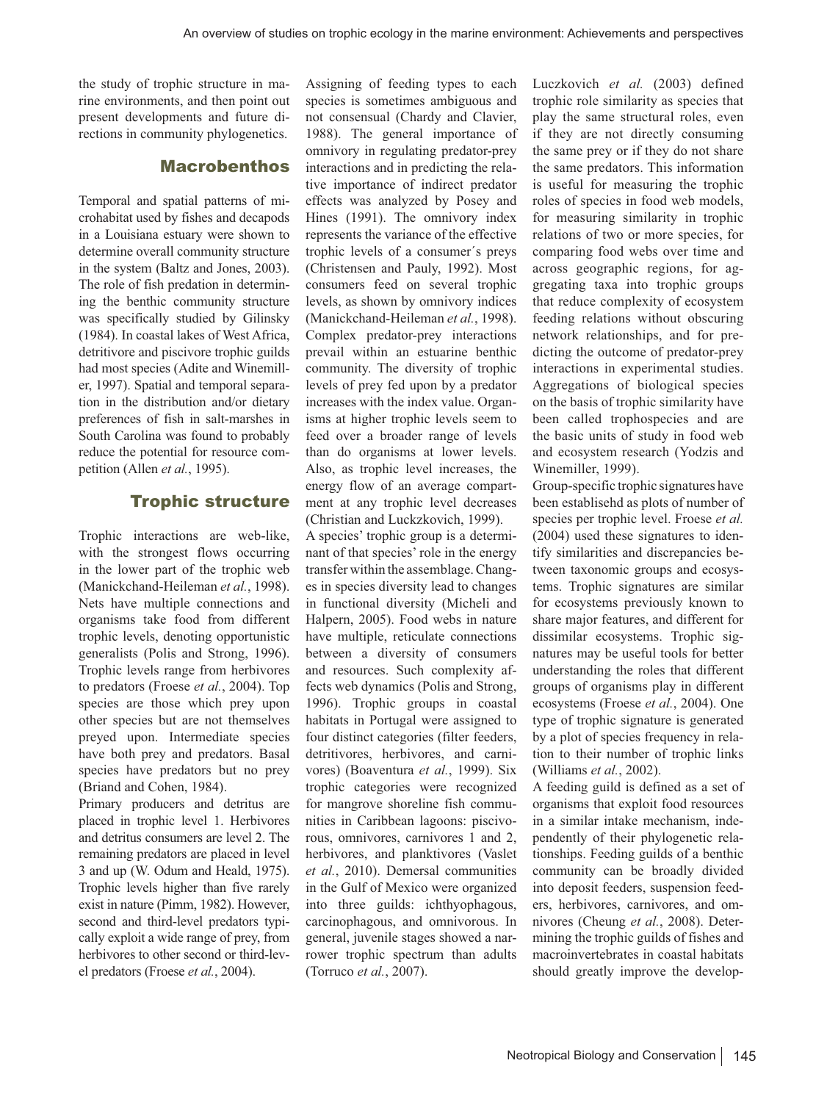the study of trophic structure in marine environments, and then point out present developments and future directions in community phylogenetics.

## Macrobenthos

Temporal and spatial patterns of microhabitat used by fishes and decapods in a Louisiana estuary were shown to determine overall community structure in the system (Baltz and Jones, 2003). The role of fish predation in determining the benthic community structure was specifically studied by Gilinsky (1984). In coastal lakes of West Africa, detritivore and piscivore trophic guilds had most species (Adite and Winemiller, 1997). Spatial and temporal separation in the distribution and/or dietary preferences of fish in salt-marshes in South Carolina was found to probably reduce the potential for resource competition (Allen *et al.*, 1995).

#### Trophic structure

Trophic interactions are web-like, with the strongest flows occurring in the lower part of the trophic web (Manickchand-Heileman *et al.*, 1998). Nets have multiple connections and organisms take food from different trophic levels, denoting opportunistic generalists (Polis and Strong, 1996). Trophic levels range from herbivores to predators (Froese *et al.*, 2004). Top species are those which prey upon other species but are not themselves preyed upon. Intermediate species have both prey and predators. Basal species have predators but no prey (Briand and Cohen, 1984).

Primary producers and detritus are placed in trophic level 1. Herbivores and detritus consumers are level 2. The remaining predators are placed in level 3 and up (W. Odum and Heald, 1975). Trophic levels higher than five rarely exist in nature (Pimm, 1982). However, second and third-level predators typically exploit a wide range of prey, from herbivores to other second or third-level predators (Froese *et al.*, 2004).

Assigning of feeding types to each species is sometimes ambiguous and not consensual (Chardy and Clavier, 1988). The general importance of omnivory in regulating predator-prey interactions and in predicting the relative importance of indirect predator effects was analyzed by Posey and Hines (1991). The omnivory index represents the variance of the effective trophic levels of a consumer´s preys (Christensen and Pauly, 1992). Most consumers feed on several trophic levels, as shown by omnivory indices (Manickchand-Heileman *et al.*, 1998). Complex predator-prey interactions prevail within an estuarine benthic community. The diversity of trophic levels of prey fed upon by a predator increases with the index value. Organisms at higher trophic levels seem to feed over a broader range of levels than do organisms at lower levels. Also, as trophic level increases, the energy flow of an average compartment at any trophic level decreases (Christian and Luckzkovich, 1999).

A species' trophic group is a determinant of that species' role in the energy transfer within the assemblage. Changes in species diversity lead to changes in functional diversity (Micheli and Halpern, 2005). Food webs in nature have multiple, reticulate connections between a diversity of consumers and resources. Such complexity affects web dynamics (Polis and Strong, 1996). Trophic groups in coastal habitats in Portugal were assigned to four distinct categories (filter feeders, detritivores, herbivores, and carnivores) (Boaventura *et al.*, 1999). Six trophic categories were recognized for mangrove shoreline fish communities in Caribbean lagoons: piscivorous, omnivores, carnivores 1 and 2, herbivores, and planktivores (Vaslet *et al.*, 2010). Demersal communities in the Gulf of Mexico were organized into three guilds: ichthyophagous, carcinophagous, and omnivorous. In general, juvenile stages showed a narrower trophic spectrum than adults (Torruco *et al.*, 2007).

Luczkovich *et al.* (2003) defined trophic role similarity as species that play the same structural roles, even if they are not directly consuming the same prey or if they do not share the same predators. This information is useful for measuring the trophic roles of species in food web models, for measuring similarity in trophic relations of two or more species, for comparing food webs over time and across geographic regions, for aggregating taxa into trophic groups that reduce complexity of ecosystem feeding relations without obscuring network relationships, and for predicting the outcome of predator-prey interactions in experimental studies. Aggregations of biological species on the basis of trophic similarity have been called trophospecies and are the basic units of study in food web and ecosystem research (Yodzis and Winemiller, 1999).

Group-specific trophic signatures have been establisehd as plots of number of species per trophic level. Froese *et al.* (2004) used these signatures to identify similarities and discrepancies between taxonomic groups and ecosystems. Trophic signatures are similar for ecosystems previously known to share major features, and different for dissimilar ecosystems. Trophic signatures may be useful tools for better understanding the roles that different groups of organisms play in different ecosystems (Froese *et al.*, 2004). One type of trophic signature is generated by a plot of species frequency in relation to their number of trophic links (Williams *et al.*, 2002).

A feeding guild is defined as a set of organisms that exploit food resources in a similar intake mechanism, independently of their phylogenetic relationships. Feeding guilds of a benthic community can be broadly divided into deposit feeders, suspension feeders, herbivores, carnivores, and omnivores (Cheung *et al.*, 2008). Determining the trophic guilds of fishes and macroinvertebrates in coastal habitats should greatly improve the develop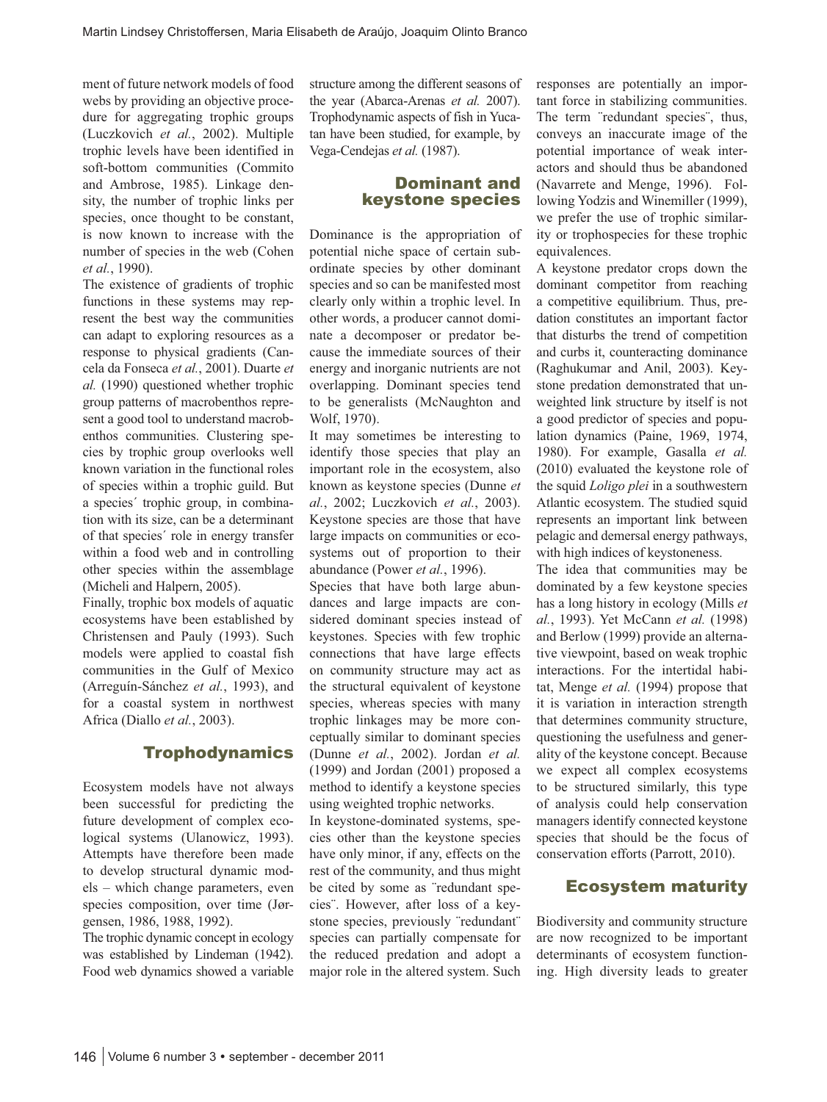ment of future network models of food webs by providing an objective procedure for aggregating trophic groups (Luczkovich *et al.*, 2002). Multiple trophic levels have been identified in soft-bottom communities (Commito and Ambrose, 1985). Linkage density, the number of trophic links per species, once thought to be constant, is now known to increase with the number of species in the web (Cohen *et al.*, 1990).

The existence of gradients of trophic functions in these systems may represent the best way the communities can adapt to exploring resources as a response to physical gradients (Cancela da Fonseca *et al.*, 2001). Duarte *et al.* (1990) questioned whether trophic group patterns of macrobenthos represent a good tool to understand macrobenthos communities. Clustering species by trophic group overlooks well known variation in the functional roles of species within a trophic guild. But a species´ trophic group, in combination with its size, can be a determinant of that species´ role in energy transfer within a food web and in controlling other species within the assemblage (Micheli and Halpern, 2005).

Finally, trophic box models of aquatic ecosystems have been established by Christensen and Pauly (1993). Such models were applied to coastal fish communities in the Gulf of Mexico (Arreguín-Sánchez *et al.*, 1993), and for a coastal system in northwest Africa (Diallo *et al.*, 2003).

### **Trophodynamics**

Ecosystem models have not always been successful for predicting the future development of complex ecological systems (Ulanowicz, 1993). Attempts have therefore been made to develop structural dynamic models – which change parameters, even species composition, over time (Jørgensen, 1986, 1988, 1992).

The trophic dynamic concept in ecology was established by Lindeman (1942). Food web dynamics showed a variable

structure among the different seasons of the year (Abarca-Arenas *et al.* 2007). Trophodynamic aspects of fish in Yucatan have been studied, for example, by Vega-Cendejas *et al.* (1987).

### Dominant and keystone species

Dominance is the appropriation of potential niche space of certain subordinate species by other dominant species and so can be manifested most clearly only within a trophic level. In other words, a producer cannot dominate a decomposer or predator because the immediate sources of their energy and inorganic nutrients are not overlapping. Dominant species tend to be generalists (McNaughton and Wolf, 1970).

It may sometimes be interesting to identify those species that play an important role in the ecosystem, also known as keystone species (Dunne *et al.*, 2002; Luczkovich *et al.*, 2003). Keystone species are those that have large impacts on communities or ecosystems out of proportion to their abundance (Power *et al.*, 1996).

Species that have both large abundances and large impacts are considered dominant species instead of keystones. Species with few trophic connections that have large effects on community structure may act as the structural equivalent of keystone species, whereas species with many trophic linkages may be more conceptually similar to dominant species (Dunne *et al.*, 2002). Jordan *et al.* (1999) and Jordan (2001) proposed a method to identify a keystone species using weighted trophic networks.

In keystone-dominated systems, species other than the keystone species have only minor, if any, effects on the rest of the community, and thus might be cited by some as ¨redundant species¨. However, after loss of a keystone species, previously ¨redundant¨ species can partially compensate for the reduced predation and adopt a major role in the altered system. Such responses are potentially an important force in stabilizing communities. The term ¨redundant species¨, thus, conveys an inaccurate image of the potential importance of weak interactors and should thus be abandoned (Navarrete and Menge, 1996). Following Yodzis and Winemiller (1999), we prefer the use of trophic similarity or trophospecies for these trophic equivalences.

A keystone predator crops down the dominant competitor from reaching a competitive equilibrium. Thus, predation constitutes an important factor that disturbs the trend of competition and curbs it, counteracting dominance (Raghukumar and Anil, 2003). Keystone predation demonstrated that unweighted link structure by itself is not a good predictor of species and population dynamics (Paine, 1969, 1974, 1980). For example, Gasalla *et al.* (2010) evaluated the keystone role of the squid *Loligo plei* in a southwestern Atlantic ecosystem. The studied squid represents an important link between pelagic and demersal energy pathways, with high indices of keystoneness.

The idea that communities may be dominated by a few keystone species has a long history in ecology (Mills *et al.*, 1993). Yet McCann *et al.* (1998) and Berlow (1999) provide an alternative viewpoint, based on weak trophic interactions. For the intertidal habitat, Menge *et al.* (1994) propose that it is variation in interaction strength that determines community structure, questioning the usefulness and generality of the keystone concept. Because we expect all complex ecosystems to be structured similarly, this type of analysis could help conservation managers identify connected keystone species that should be the focus of conservation efforts (Parrott, 2010).

## Ecosystem maturity

Biodiversity and community structure are now recognized to be important determinants of ecosystem functioning. High diversity leads to greater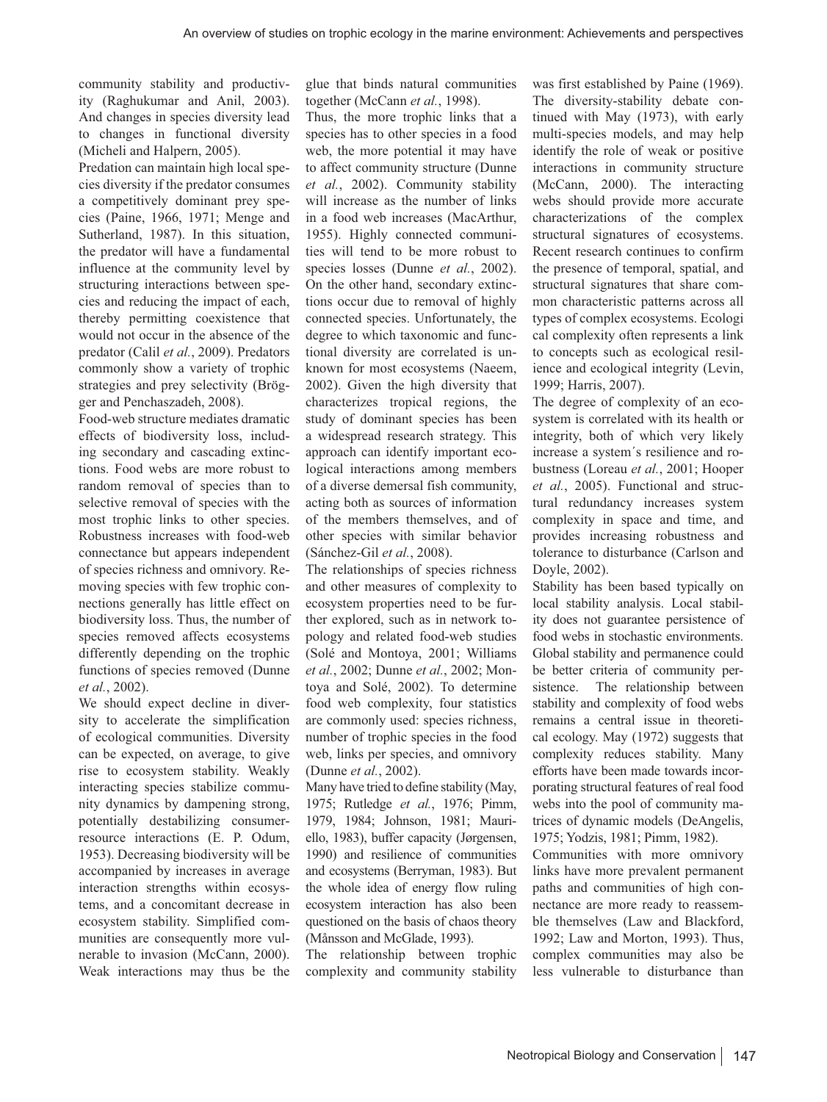community stability and productivity (Raghukumar and Anil, 2003). And changes in species diversity lead to changes in functional diversity (Micheli and Halpern, 2005).

Predation can maintain high local species diversity if the predator consumes a competitively dominant prey species (Paine, 1966, 1971; Menge and Sutherland, 1987). In this situation, the predator will have a fundamental influence at the community level by structuring interactions between species and reducing the impact of each, thereby permitting coexistence that would not occur in the absence of the predator (Calil *et al.*, 2009). Predators commonly show a variety of trophic strategies and prey selectivity (Brögger and Penchaszadeh, 2008).

Food-web structure mediates dramatic effects of biodiversity loss, including secondary and cascading extinctions. Food webs are more robust to random removal of species than to selective removal of species with the most trophic links to other species. Robustness increases with food-web connectance but appears independent of species richness and omnivory. Removing species with few trophic connections generally has little effect on biodiversity loss. Thus, the number of species removed affects ecosystems differently depending on the trophic functions of species removed (Dunne *et al.*, 2002).

We should expect decline in diversity to accelerate the simplification of ecological communities. Diversity can be expected, on average, to give rise to ecosystem stability. Weakly interacting species stabilize community dynamics by dampening strong, potentially destabilizing consumerresource interactions (E. P. Odum, 1953). Decreasing biodiversity will be accompanied by increases in average interaction strengths within ecosystems, and a concomitant decrease in ecosystem stability. Simplified communities are consequently more vulnerable to invasion (McCann, 2000). Weak interactions may thus be the glue that binds natural communities together (McCann *et al.*, 1998).

Thus, the more trophic links that a species has to other species in a food web, the more potential it may have to affect community structure (Dunne *et al.*, 2002). Community stability will increase as the number of links in a food web increases (MacArthur, 1955). Highly connected communities will tend to be more robust to species losses (Dunne *et al.*, 2002). On the other hand, secondary extinctions occur due to removal of highly connected species. Unfortunately, the degree to which taxonomic and functional diversity are correlated is unknown for most ecosystems (Naeem, 2002). Given the high diversity that characterizes tropical regions, the study of dominant species has been a widespread research strategy. This approach can identify important ecological interactions among members of a diverse demersal fish community, acting both as sources of information of the members themselves, and of other species with similar behavior (Sánchez-Gil *et al.*, 2008).

The relationships of species richness and other measures of complexity to ecosystem properties need to be further explored, such as in network topology and related food-web studies (Solé and Montoya, 2001; Williams *et al.*, 2002; Dunne *et al.*, 2002; Montoya and Solé, 2002). To determine food web complexity, four statistics are commonly used: species richness, number of trophic species in the food web, links per species, and omnivory (Dunne *et al.*, 2002).

Many have tried to define stability (May, 1975; Rutledge *et al.*, 1976; Pimm, 1979, 1984; Johnson, 1981; Mauriello, 1983), buffer capacity (Jørgensen, 1990) and resilience of communities and ecosystems (Berryman, 1983). But the whole idea of energy flow ruling ecosystem interaction has also been questioned on the basis of chaos theory (Månsson and McGlade, 1993).

The relationship between trophic complexity and community stability was first established by Paine (1969). The diversity-stability debate continued with May (1973), with early multi-species models, and may help identify the role of weak or positive interactions in community structure (McCann, 2000). The interacting webs should provide more accurate characterizations of the complex structural signatures of ecosystems. Recent research continues to confirm the presence of temporal, spatial, and structural signatures that share common characteristic patterns across all types of complex ecosystems. Ecologi cal complexity often represents a link to concepts such as ecological resilience and ecological integrity (Levin, 1999; Harris, 2007).

The degree of complexity of an ecosystem is correlated with its health or integrity, both of which very likely increase a system´s resilience and robustness (Loreau *et al.*, 2001; Hooper *et al.*, 2005). Functional and structural redundancy increases system complexity in space and time, and provides increasing robustness and tolerance to disturbance (Carlson and Doyle, 2002).

Stability has been based typically on local stability analysis. Local stability does not guarantee persistence of food webs in stochastic environments. Global stability and permanence could be better criteria of community persistence. The relationship between stability and complexity of food webs remains a central issue in theoretical ecology. May (1972) suggests that complexity reduces stability. Many efforts have been made towards incorporating structural features of real food webs into the pool of community matrices of dynamic models (DeAngelis, 1975; Yodzis, 1981; Pimm, 1982).

Communities with more omnivory links have more prevalent permanent paths and communities of high connectance are more ready to reassemble themselves (Law and Blackford, 1992; Law and Morton, 1993). Thus, complex communities may also be less vulnerable to disturbance than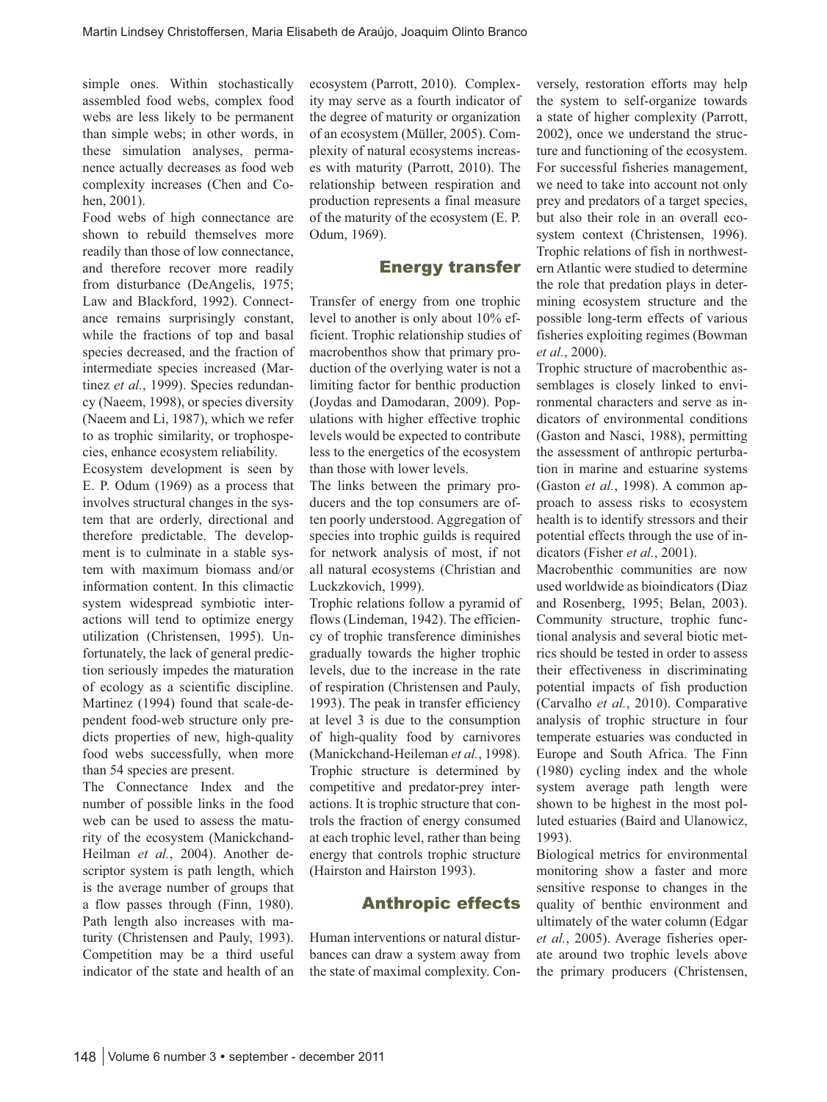simple ones. Within stochastically assembled food webs, complex food webs are less likely to be permanent than simple webs; in other words, in these simulation analyses, permanence actually decreases as food web complexity increases (Chen and Cohen, 2001).

Food webs of high connectance are shown to rebuild themselves more readily than those of low connectance, and therefore recover more readily from disturbance (DeAngelis, 1975; Law and Blackford, 1992). Connectance remains surprisingly constant, while the fractions of top and basal species decreased, and the fraction of intermediate species increased (Martinez *et al.*, 1999). Species redundancy (Naeem, 1998), or species diversity (Naeem and Li, 1987), which we refer to as trophic similarity, or trophospecies, enhance ecosystem reliability.

Ecosystem development is seen by E. P. Odum (1969) as a process that involves structural changes in the system that are orderly, directional and therefore predictable. The development is to culminate in a stable system with maximum biomass and/or information content. In this climactic system widespread symbiotic interactions will tend to optimize energy utilization (Christensen, 1995). Unfortunately, the lack of general prediction seriously impedes the maturation of ecology as a scientific discipline. Martinez (1994) found that scale-dependent food-web structure only predicts properties of new, high-quality food webs successfully, when more than 54 species are present.

The Connectance Index and the number of possible links in the food web can be used to assess the maturity of the ecosystem (Manickchand-Heilman *et al.*, 2004). Another descriptor system is path length, which is the average number of groups that a flow passes through (Finn, 1980). Path length also increases with maturity (Christensen and Pauly, 1993). Competition may be a third useful indicator of the state and health of an

ecosystem (Parrott, 2010). Complexity may serve as a fourth indicator of the degree of maturity or organization of an ecosystem (Müller, 2005). Complexity of natural ecosystems increases with maturity (Parrott, 2010). The relationship between respiration and production represents a final measure of the maturity of the ecosystem (E. P. Odum, 1969).

## Energy transfer

Transfer of energy from one trophic level to another is only about 10% efficient. Trophic relationship studies of macrobenthos show that primary production of the overlying water is not a limiting factor for benthic production (Joydas and Damodaran, 2009). Populations with higher effective trophic levels would be expected to contribute less to the energetics of the ecosystem than those with lower levels.

The links between the primary producers and the top consumers are often poorly understood. Aggregation of species into trophic guilds is required for network analysis of most, if not all natural ecosystems (Christian and Luckzkovich, 1999).

Trophic relations follow a pyramid of flows (Lindeman, 1942). The efficiency of trophic transference diminishes gradually towards the higher trophic levels, due to the increase in the rate of respiration (Christensen and Pauly, 1993). The peak in transfer efficiency at level 3 is due to the consumption of high-quality food by carnivores (Manickchand-Heileman *et al.*, 1998). Trophic structure is determined by competitive and predator-prey interactions. It is trophic structure that controls the fraction of energy consumed at each trophic level, rather than being energy that controls trophic structure (Hairston and Hairston 1993).

## Anthropic effects

Human interventions or natural disturbances can draw a system away from the state of maximal complexity. Conversely, restoration efforts may help the system to self-organize towards a state of higher complexity (Parrott, 2002), once we understand the structure and functioning of the ecosystem. For successful fisheries management, we need to take into account not only prey and predators of a target species, but also their role in an overall ecosystem context (Christensen, 1996). Trophic relations of fish in northwestern Atlantic were studied to determine the role that predation plays in determining ecosystem structure and the possible long-term effects of various fisheries exploiting regimes (Bowman *et al.*, 2000).

Trophic structure of macrobenthic assemblages is closely linked to environmental characters and serve as indicators of environmental conditions (Gaston and Nasci, 1988), permitting the assessment of anthropic perturbation in marine and estuarine systems (Gaston *et al.*, 1998). A common approach to assess risks to ecosystem health is to identify stressors and their potential effects through the use of indicators (Fisher *et al.*, 2001).

Macrobenthic communities are now used worldwide as bioindicators (Diaz and Rosenberg, 1995; Belan, 2003). Community structure, trophic functional analysis and several biotic metrics should be tested in order to assess their effectiveness in discriminating potential impacts of fish production (Carvalho *et al.*, 2010). Comparative analysis of trophic structure in four temperate estuaries was conducted in Europe and South Africa. The Finn (1980) cycling index and the whole system average path length were shown to be highest in the most polluted estuaries (Baird and Ulanowicz, 1993).

Biological metrics for environmental monitoring show a faster and more sensitive response to changes in the quality of benthic environment and ultimately of the water column (Edgar *et al.*, 2005). Average fisheries operate around two trophic levels above the primary producers (Christensen,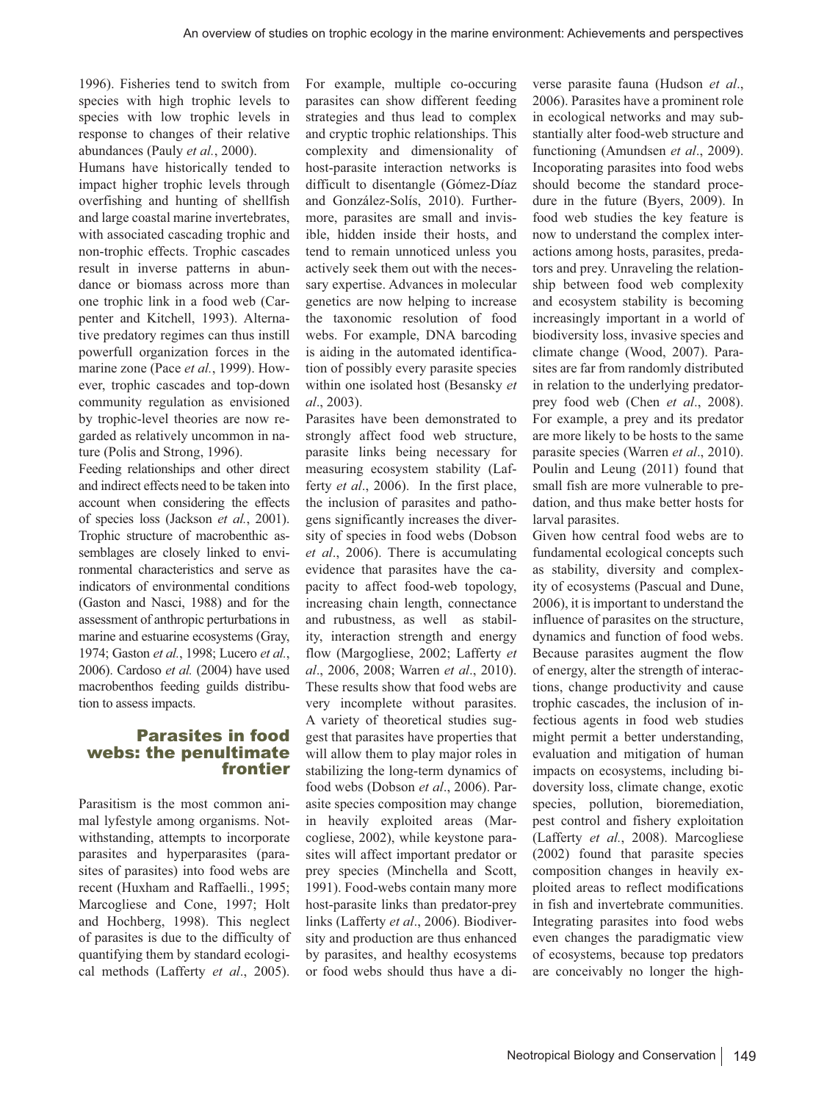1996). Fisheries tend to switch from species with high trophic levels to species with low trophic levels in response to changes of their relative abundances (Pauly *et al.*, 2000).

Humans have historically tended to impact higher trophic levels through overfishing and hunting of shellfish and large coastal marine invertebrates, with associated cascading trophic and non-trophic effects. Trophic cascades result in inverse patterns in abundance or biomass across more than one trophic link in a food web (Carpenter and Kitchell, 1993). Alternative predatory regimes can thus instill powerfull organization forces in the marine zone (Pace *et al.*, 1999). However, trophic cascades and top-down community regulation as envisioned by trophic-level theories are now regarded as relatively uncommon in nature (Polis and Strong, 1996).

Feeding relationships and other direct and indirect effects need to be taken into account when considering the effects of species loss (Jackson *et al.*, 2001). Trophic structure of macrobenthic assemblages are closely linked to environmental characteristics and serve as indicators of environmental conditions (Gaston and Nasci, 1988) and for the assessment of anthropic perturbations in marine and estuarine ecosystems (Gray, 1974; Gaston *et al.*, 1998; Lucero *et al.*, 2006). Cardoso *et al.* (2004) have used macrobenthos feeding guilds distribution to assess impacts.

#### Parasites in food webs: the penultimate frontier

Parasitism is the most common animal lyfestyle among organisms. Notwithstanding, attempts to incorporate parasites and hyperparasites (parasites of parasites) into food webs are recent (Huxham and Raffaelli., 1995; Marcogliese and Cone, 1997; Holt and Hochberg, 1998). This neglect of parasites is due to the difficulty of quantifying them by standard ecological methods (Lafferty *et al*., 2005). For example, multiple co-occuring parasites can show different feeding strategies and thus lead to complex and cryptic trophic relationships. This complexity and dimensionality of host-parasite interaction networks is difficult to disentangle (Gómez-Díaz and González-Solís, 2010). Furthermore, parasites are small and invisible, hidden inside their hosts, and tend to remain unnoticed unless you actively seek them out with the necessary expertise. Advances in molecular genetics are now helping to increase the taxonomic resolution of food webs. For example, DNA barcoding is aiding in the automated identification of possibly every parasite species within one isolated host (Besansky *et al*., 2003).

Parasites have been demonstrated to strongly affect food web structure, parasite links being necessary for measuring ecosystem stability (Lafferty *et al*., 2006). In the first place, the inclusion of parasites and pathogens significantly increases the diversity of species in food webs (Dobson *et al*., 2006). There is accumulating evidence that parasites have the capacity to affect food-web topology, increasing chain length, connectance and rubustness, as well as stability, interaction strength and energy flow (Margogliese, 2002; Lafferty *et al*., 2006, 2008; Warren *et al*., 2010). These results show that food webs are very incomplete without parasites. A variety of theoretical studies suggest that parasites have properties that will allow them to play major roles in stabilizing the long-term dynamics of food webs (Dobson *et al*., 2006). Parasite species composition may change in heavily exploited areas (Marcogliese, 2002), while keystone parasites will affect important predator or prey species (Minchella and Scott, 1991). Food-webs contain many more host-parasite links than predator-prey links (Lafferty *et al*., 2006). Biodiversity and production are thus enhanced by parasites, and healthy ecosystems or food webs should thus have a diverse parasite fauna (Hudson *et al*., 2006). Parasites have a prominent role in ecological networks and may substantially alter food-web structure and functioning (Amundsen *et al*., 2009). Incoporating parasites into food webs should become the standard procedure in the future (Byers, 2009). In food web studies the key feature is now to understand the complex interactions among hosts, parasites, predators and prey. Unraveling the relationship between food web complexity and ecosystem stability is becoming increasingly important in a world of biodiversity loss, invasive species and climate change (Wood, 2007). Parasites are far from randomly distributed in relation to the underlying predatorprey food web (Chen *et al*., 2008). For example, a prey and its predator are more likely to be hosts to the same parasite species (Warren *et al*., 2010). Poulin and Leung (2011) found that small fish are more vulnerable to predation, and thus make better hosts for larval parasites.

Given how central food webs are to fundamental ecological concepts such as stability, diversity and complexity of ecosystems (Pascual and Dune, 2006), it is important to understand the influence of parasites on the structure, dynamics and function of food webs. Because parasites augment the flow of energy, alter the strength of interactions, change productivity and cause trophic cascades, the inclusion of infectious agents in food web studies might permit a better understanding, evaluation and mitigation of human impacts on ecosystems, including bidoversity loss, climate change, exotic species, pollution, bioremediation, pest control and fishery exploitation (Lafferty *et al.*, 2008). Marcogliese (2002) found that parasite species composition changes in heavily exploited areas to reflect modifications in fish and invertebrate communities. Integrating parasites into food webs even changes the paradigmatic view of ecosystems, because top predators are conceivably no longer the high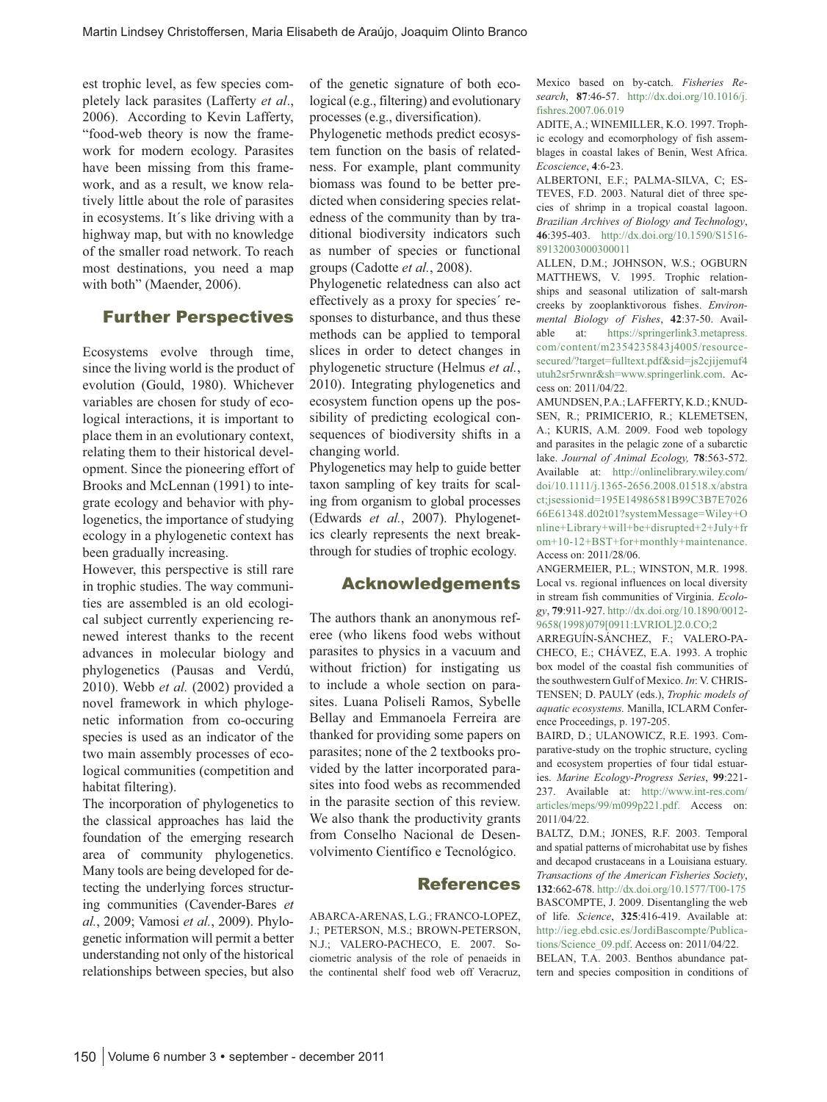est trophic level, as few species completely lack parasites (Lafferty *et al*., 2006). According to Kevin Lafferty, "food-web theory is now the framework for modern ecology. Parasites have been missing from this framework, and as a result, we know relatively little about the role of parasites in ecosystems. It´s like driving with a highway map, but with no knowledge of the smaller road network. To reach most destinations, you need a map with both" (Maender, 2006).

#### Further Perspectives

Ecosystems evolve through time, since the living world is the product of evolution (Gould, 1980). Whichever variables are chosen for study of ecological interactions, it is important to place them in an evolutionary context, relating them to their historical development. Since the pioneering effort of Brooks and McLennan (1991) to integrate ecology and behavior with phylogenetics, the importance of studying ecology in a phylogenetic context has been gradually increasing.

However, this perspective is still rare in trophic studies. The way communities are assembled is an old ecological subject currently experiencing renewed interest thanks to the recent advances in molecular biology and phylogenetics (Pausas and Verdú, 2010). Webb *et al.* (2002) provided a novel framework in which phylogenetic information from co-occuring species is used as an indicator of the two main assembly processes of ecological communities (competition and habitat filtering).

The incorporation of phylogenetics to the classical approaches has laid the foundation of the emerging research area of community phylogenetics. Many tools are being developed for detecting the underlying forces structuring communities (Cavender-Bares *et al.*, 2009; Vamosi *et al.*, 2009). Phylogenetic information will permit a better understanding not only of the historical relationships between species, but also

of the genetic signature of both ecological (e.g., filtering) and evolutionary processes (e.g., diversification).

Phylogenetic methods predict ecosystem function on the basis of relatedness. For example, plant community biomass was found to be better predicted when considering species relatedness of the community than by traditional biodiversity indicators such as number of species or functional groups (Cadotte *et al.*, 2008).

Phylogenetic relatedness can also act effectively as a proxy for species´ responses to disturbance, and thus these methods can be applied to temporal slices in order to detect changes in phylogenetic structure (Helmus *et al.*, 2010). Integrating phylogenetics and ecosystem function opens up the possibility of predicting ecological consequences of biodiversity shifts in a changing world.

Phylogenetics may help to guide better taxon sampling of key traits for scaling from organism to global processes (Edwards *et al.*, 2007). Phylogenetics clearly represents the next breakthrough for studies of trophic ecology.

#### Acknowledgements

The authors thank an anonymous referee (who likens food webs without parasites to physics in a vacuum and without friction) for instigating us to include a whole section on parasites. Luana Poliseli Ramos, Sybelle Bellay and Emmanoela Ferreira are thanked for providing some papers on parasites; none of the 2 textbooks provided by the latter incorporated parasites into food webs as recommended in the parasite section of this review. We also thank the productivity grants from Conselho Nacional de Desenvolvimento Científico e Tecnológico.

#### References

ABARCA-ARENAS, L.G.; FRANCO-LOPEZ, J.; PETERSON, M.S.; BROWN-PETERSON, N.J.; VALERO-PACHECO, E. 2007. Sociometric analysis of the role of penaeids in the continental shelf food web off Veracruz, Mexico based on by-catch. *Fisheries Research*, **87**:46-57. http://dx.doi.org/10.1016/j. fishres.2007.06.019

ADITE, A.; WINEMILLER, K.O. 1997. Trophic ecology and ecomorphology of fish assemblages in coastal lakes of Benin, West Africa. *Ecoscience*, **4**:6-23.

ALBERTONI, E.F.; PALMA-SILVA, C; ES-TEVES, F.D. 2003. Natural diet of three species of shrimp in a tropical coastal lagoon. *Brazilian Archives of Biology and Technology*, **46**:395-403. http://dx.doi.org/10.1590/S1516- 89132003000300011

ALLEN, D.M.; JOHNSON, W.S.; OGBURN MATTHEWS, V. 1995. Trophic relationships and seasonal utilization of salt-marsh creeks by zooplanktivorous fishes. *Environmental Biology of Fishes*, **42**:37-50. Available at: https://springerlink3.metapress. com/content/m2354235843j4005/resourcesecured/?target=fulltext.pdf&sid=js2cjijemuf4 utuh2sr5rwnr&sh=www.springerlink.com. Access on: 2011/04/22.

AMUNDSEN, P.A.; LAFFERTY, K.D.; KNUD-SEN, R.; PRIMICERIO, R.; KLEMETSEN, A.; KURIS, A.M. 2009. Food web topology and parasites in the pelagic zone of a subarctic lake. *Journal of Animal Ecology,* **78**:563-572. Available at: http://onlinelibrary.wiley.com/ doi/10.1111/j.1365-2656.2008.01518.x/abstra ct;jsessionid=195E14986581B99C3B7E7026 66E61348.d02t01?systemMessage=Wiley+O nline+Library+will+be+disrupted+2+July+fr om+10-12+BST+for+monthly+maintenance. Access on: 2011/28/06.

ANGERMEIER, P.L.; WINSTON, M.R. 1998. Local vs. regional influences on local diversity in stream fish communities of Virginia. *Ecology*, **79**:911-927. http://dx.doi.org/10.1890/0012- 9658(1998)079[0911:LVRIOL]2.0.CO;2

ARREGUÍN-SÁNCHEZ, F.; VALERO-PA-CHECO, E.; CHÁVEZ, E.A. 1993. A trophic box model of the coastal fish communities of the southwestern Gulf of Mexico. *In*: V. CHRIS-TENSEN; D. PAULY (eds.), *Trophic models of aquatic ecosystems.* Manilla, ICLARM Conference Proceedings, p. 197-205.

BAIRD, D.; ULANOWICZ, R.E. 1993. Comparative-study on the trophic structure, cycling and ecosystem properties of four tidal estuaries. *Marine Ecology-Progress Series*, **99**:221- 237. Available at: http://www.int-res.com/ articles/meps/99/m099p221.pdf. Access on: 2011/04/22.

BALTZ, D.M.; JONES, R.F. 2003. Temporal and spatial patterns of microhabitat use by fishes and decapod crustaceans in a Louisiana estuary. *Transactions of the American Fisheries Society*, **132**:662-678. http://dx.doi.org/10.1577/T00-175 BASCOMPTE, J. 2009. Disentangling the web of life. *Science*, **325**:416-419. Available at: http://ieg.ebd.csic.es/JordiBascompte/Publications/Science\_09.pdf. Access on: 2011/04/22. BELAN, T.A. 2003. Benthos abundance pat-

tern and species composition in conditions of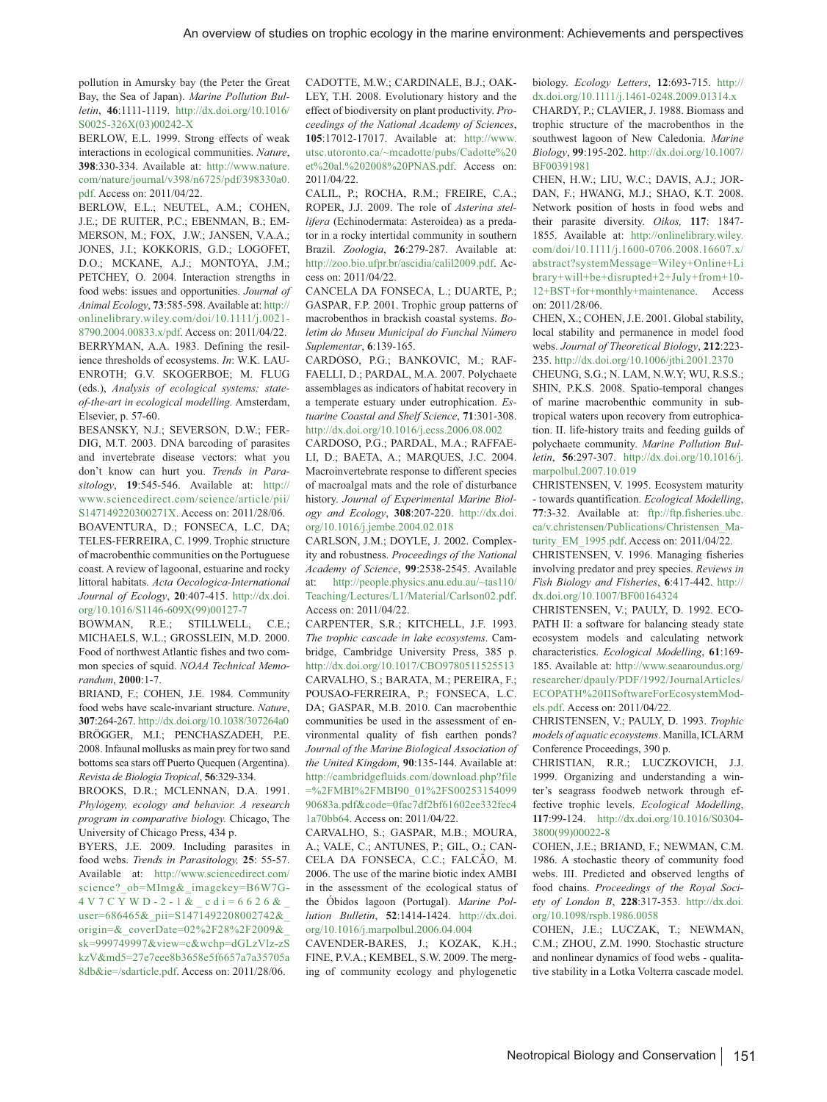pollution in Amursky bay (the Peter the Great Bay, the Sea of Japan). *Marine Pollution Bulletin*, **46**:1111-1119. http://dx.doi.org/10.1016/ S0025-326X(03)00242-X

BERLOW, E.L. 1999. Strong effects of weak interactions in ecological communities. *Nature*, **398**:330-334. Available at: http://www.nature. com/nature/journal/v398/n6725/pdf/398330a0. pdf. Access on: 2011/04/22.

BERLOW, E.L.; NEUTEL, A.M.; COHEN, J.E.; DE RUITER, P.C.; EBENMAN, B.; EM-MERSON, M.; FOX, J.W.; JANSEN, V.A.A.; JONES, J.I.; KOKKORIS, G.D.; LOGOFET, D.O.; MCKANE, A.J.; MONTOYA, J.M.; PETCHEY, O. 2004. Interaction strengths in food webs: issues and opportunities. *Journal of Animal Ecology*, **73**:585-598. Available at: http:// onlinelibrary.wiley.com/doi/10.1111/j.0021- 8790.2004.00833.x/pdf. Access on: 2011/04/22. BERRYMAN, A.A. 1983. Defining the resilience thresholds of ecosystems. *In*: W.K. LAU-ENROTH; G.V. SKOGERBOE; M. FLUG (eds.), *Analysis of ecological systems: stateof-the-art in ecological modelling.* Amsterdam, Elsevier, p. 57-60.

BESANSKY, N.J.; SEVERSON, D.W.; FER-DIG, M.T. 2003. DNA barcoding of parasites and invertebrate disease vectors: what you don't know can hurt you. *Trends in Parasitology*, **19**:545-546. Available at: http:// www.sciencedirect.com/science/article/pii/ S147149220300271X. Access on: 2011/28/06. BOAVENTURA, D.; FONSECA, L.C. DA; TELES-FERREIRA, C. 1999. Trophic structure of macrobenthic communities on the Portuguese coast. A review of lagoonal, estuarine and rocky littoral habitats. *Acta Oecologica-International Journal of Ecology*, **20**:407-415. http://dx.doi. org/10.1016/S1146-609X(99)00127-7

BOWMAN, R.E.; STILLWELL, C.E.; MICHAELS, W.L.; GROSSLEIN, M.D. 2000. Food of northwest Atlantic fishes and two common species of squid. *NOAA Technical Memorandum*, **2000**:1-7.

BRIAND, F.; COHEN, J.E. 1984. Community food webs have scale-invariant structure. *Nature*, **307**:264-267. http://dx.doi.org/10.1038/307264a0 BRÖGGER, M.I.; PENCHASZADEH, P.E. 2008. Infaunal mollusks as main prey for two sand bottoms sea stars off Puerto Quequen (Argentina). *Revista de Biologia Tropical*, **56**:329-334.

BROOKS, D.R.; MCLENNAN, D.A. 1991. *Phylogeny, ecology and behavior. A research program in comparative biology.* Chicago, The University of Chicago Press, 434 p.

BYERS, J.E. 2009. Including parasites in food webs. *Trends in Parasitology,* **25**: 55-57. Available at: http://www.sciencedirect.com/ science?\_ob=MImg&\_imagekey=B6W7G-4V7CYWD-2-1&\_cdi=6626&\_ user=686465&\_pii=S1471492208002742&\_ origin=&\_coverDate=02%2F28%2F2009&\_ sk=999749997&view=c&wchp=dGLzVlz-zS kzV&md5=27e7eee8b3658e5f6657a7a35705a 8db&ie=/sdarticle.pdf. Access on: 2011/28/06.

CADOTTE, M.W.; CARDINALE, B.J.; OAK-LEY, T.H. 2008. Evolutionary history and the effect of biodiversity on plant productivity. *Proceedings of the National Academy of Sciences*, **105**:17012-17017. Available at: http://www. utsc.utoronto.ca/~mcadotte/pubs/Cadotte%20 et%20al.%202008%20PNAS.pdf. Access on: 2011/04/22.

CALIL, P.; ROCHA, R.M.; FREIRE, C.A.; ROPER, J.J. 2009. The role of *Asterina stellifera* (Echinodermata: Asteroidea) as a predator in a rocky intertidal community in southern Brazil. *Zoologia*, **26**:279-287. Available at: http://zoo.bio.ufpr.br/ascidia/calil2009.pdf. Access on: 2011/04/22.

CANCELA DA FONSECA, L.; DUARTE, P.; GASPAR, F.P. 2001. Trophic group patterns of macrobenthos in brackish coastal systems. *Boletim do Museu Municipal do Funchal Número Suplementar*, **6**:139-165.

CARDOSO, P.G.; BANKOVIC, M.; RAF-FAELLI, D.; PARDAL, M.A. 2007. Polychaete assemblages as indicators of habitat recovery in a temperate estuary under eutrophication. *Estuarine Coastal and Shelf Science*, **71**:301-308. http://dx.doi.org/10.1016/j.ecss.2006.08.002

CARDOSO, P.G.; PARDAL, M.A.; RAFFAE-LI, D.; BAETA, A.; MARQUES, J.C. 2004. Macroinvertebrate response to different species of macroalgal mats and the role of disturbance history. *Journal of Experimental Marine Biology and Ecology*, **308**:207-220. http://dx.doi. org/10.1016/j.jembe.2004.02.018

CARLSON, J.M.; DOYLE, J. 2002. Complexity and robustness. *Proceedings of the National Academy of Science*, **99**:2538-2545. Available at: http://people.physics.anu.edu.au/~tas110/ Teaching/Lectures/L1/Material/Carlson02.pdf. Access on: 2011/04/22.

CARPENTER, S.R.; KITCHELL, J.F. 1993. *The trophic cascade in lake ecosystems*. Cambridge, Cambridge University Press, 385 p. http://dx.doi.org/10.1017/CBO9780511525513 CARVALHO, S.; BARATA, M.; PEREIRA, F.; POUSAO-FERREIRA, P.; FONSECA, L.C. DA; GASPAR, M.B. 2010. Can macrobenthic communities be used in the assessment of environmental quality of fish earthen ponds? *Journal of the Marine Biological Association of the United Kingdom*, **90**:135-144. Available at: http://cambridgefluids.com/download.php?file =%2FMBI%2FMBI90\_01%2FS00253154099 90683a.pdf&code=0fac7df2bf61602ee332fec4 1a70bb64. Access on: 2011/04/22.

CARVALHO, S.; GASPAR, M.B.; MOURA, A.; VALE, C.; ANTUNES, P.; GIL, O.; CAN-CELA DA FONSECA, C.C.; FALCÃO, M. 2006. The use of the marine biotic index AMBI in the assessment of the ecological status of the Óbidos lagoon (Portugal). *Marine Pollution Bulletin*, **52**:1414-1424. http://dx.doi. org/10.1016/j.marpolbul.2006.04.004

CAVENDER-BARES, J.; KOZAK, K.H.; FINE, P.V.A.; KEMBEL, S.W. 2009. The merging of community ecology and phylogenetic biology. *Ecology Letters*, **12**:693-715. http:// dx.doi.org/10.1111/j.1461-0248.2009.01314.x CHARDY, P.; CLAVIER, J. 1988. Biomass and trophic structure of the macrobenthos in the southwest lagoon of New Caledonia. *Marine Biology*, **99**:195-202. http://dx.doi.org/10.1007/ BF00391981

CHEN, H.W.; LIU, W.C.; DAVIS, A.J.; JOR-DAN, F.; HWANG, M.J.; SHAO, K.T. 2008. Network position of hosts in food webs and their parasite diversity. *Oikos,* **117**: 1847- 1855. Available at: http://onlinelibrary.wiley. com/doi/10.1111/j.1600-0706.2008.16607.x/ abstract?systemMessage=Wiley+Online+Li brary+will+be+disrupted+2+July+from+10- 12+BST+for+monthly+maintenance. Access on: 2011/28/06.

CHEN, X.; COHEN, J.E. 2001. Global stability, local stability and permanence in model food webs. *Journal of Theoretical Biology*, **212**:223- 235. http://dx.doi.org/10.1006/jtbi.2001.2370

CHEUNG, S.G.; N. LAM, N.W.Y; WU, R.S.S.; SHIN, P.K.S. 2008. Spatio-temporal changes of marine macrobenthic community in subtropical waters upon recovery from eutrophication. II. life-history traits and feeding guilds of polychaete community. *Marine Pollution Bulletin*, **56**:297-307. http://dx.doi.org/10.1016/j. marpolbul.2007.10.019

CHRISTENSEN, V. 1995. Ecosystem maturity - towards quantification. *Ecological Modelling*, **77**:3-32. Available at: ftp://ftp.fisheries.ubc. ca/v.christensen/Publications/Christensen\_Maturity\_EM\_1995.pdf. Access on: 2011/04/22.

CHRISTENSEN, V. 1996. Managing fisheries involving predator and prey species. *Reviews in Fish Biology and Fisheries*, **6**:417-442. http:// dx.doi.org/10.1007/BF00164324

CHRISTENSEN, V.; PAULY, D. 1992. ECO-PATH II: a software for balancing steady state ecosystem models and calculating network characteristics. *Ecological Modelling*, **61**:169- 185. Available at: http://www.seaaroundus.org/ researcher/dpauly/PDF/1992/JournalArticles/ ECOPATH%20IISoftwareForEcosystemModels.pdf. Access on: 2011/04/22.

CHRISTENSEN, V.; PAULY, D. 1993. *Trophic models of aquatic ecosystems*. Manilla, ICLARM Conference Proceedings, 390 p.

CHRISTIAN, R.R.; LUCZKOVICH, J.J. 1999. Organizing and understanding a winter's seagrass foodweb network through effective trophic levels. *Ecological Modelling*, **117**:99-124. http://dx.doi.org/10.1016/S0304- 3800(99)00022-8

COHEN, J.E.; BRIAND, F.; NEWMAN, C.M. 1986. A stochastic theory of community food webs. III. Predicted and observed lengths of food chains. *Proceedings of the Royal Society of London B*, **228**:317-353. http://dx.doi. org/10.1098/rspb.1986.0058

COHEN, J.E.; LUCZAK, T.; NEWMAN, C.M.; ZHOU, Z.M. 1990. Stochastic structure and nonlinear dynamics of food webs - qualitative stability in a Lotka Volterra cascade model.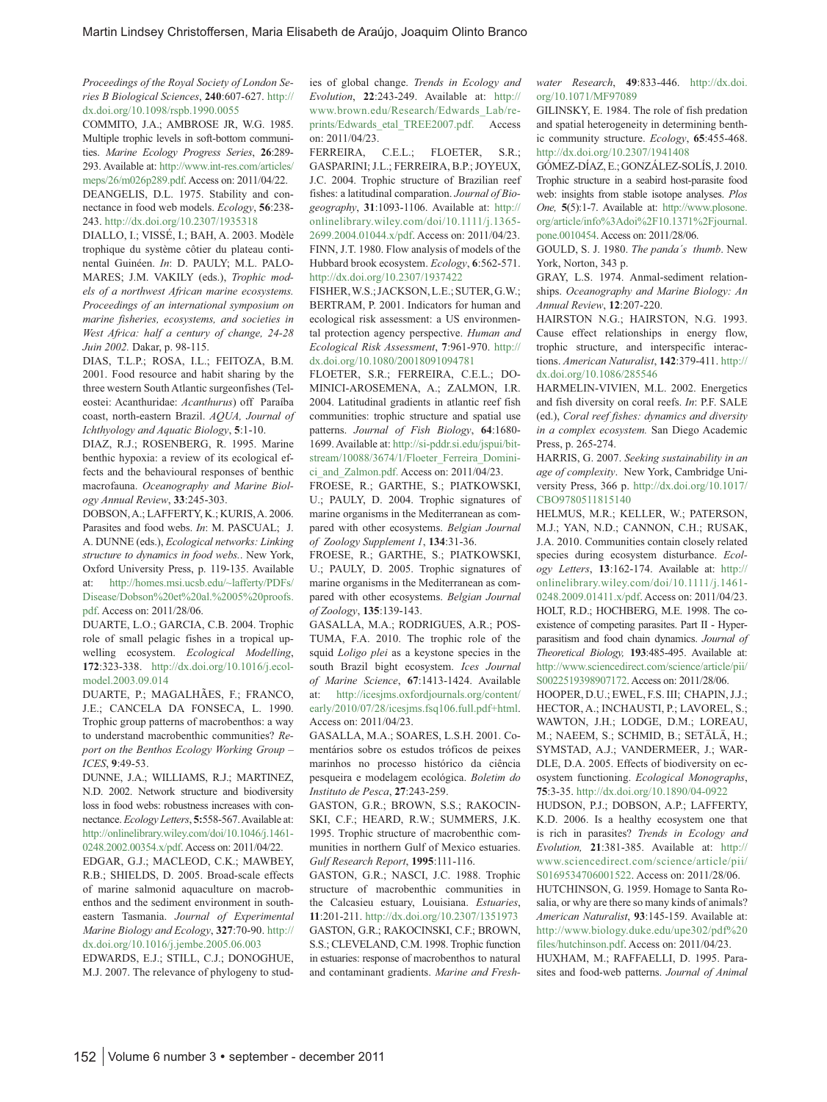*Proceedings of the Royal Society of London Series B Biological Sciences*, **240**:607-627. http:// dx.doi.org/10.1098/rspb.1990.0055

COMMITO, J.A.; AMBROSE JR, W.G. 1985. Multiple trophic levels in soft-bottom communities. *Marine Ecology Progress Series*, **26**:289- 293. Available at: http://www.int-res.com/articles/ meps/26/m026p289.pdf. Access on: 2011/04/22. DEANGELIS, D.L. 1975. Stability and connectance in food web models. *Ecology*, **56**:238- 243. http://dx.doi.org/10.2307/1935318

DIALLO, I.; VISSÉ, I.; BAH, A. 2003. Modèle trophique du système côtier du plateau continental Guinéen. *In*: D. PAULY; M.L. PALO-MARES; J.M. VAKILY (eds.), *Trophic models of a northwest African marine ecosystems. Proceedings of an international symposium on marine fisheries, ecosystems, and societies in West Africa: half a century of change, 24-28 Juin 2002.* Dakar, p. 98-115.

DIAS, T.L.P.; ROSA, I.L.; FEITOZA, B.M. 2001. Food resource and habit sharing by the three western South Atlantic surgeonfishes (Teleostei: Acanthuridae: *Acanthurus*) off Paraíba coast, north-eastern Brazil. *AQUA, Journal of Ichthyology and Aquatic Biology*, **5**:1-10.

DIAZ, R.J.; ROSENBERG, R. 1995. Marine benthic hypoxia: a review of its ecological effects and the behavioural responses of benthic macrofauna. *Oceanography and Marine Biology Annual Review*, **33**:245-303.

DOBSON, A.; LAFFERTY, K.; KURIS, A. 2006. Parasites and food webs. *In*: M. PASCUAL; J. A. DUNNE (eds.), *Ecological networks: Linking structure to dynamics in food webs.*. New York, Oxford University Press, p. 119-135. Available at: http://homes.msi.ucsb.edu/~lafferty/PDFs/ Disease/Dobson%20et%20al.%2005%20proofs. pdf. Access on: 2011/28/06.

DUARTE, L.O.; GARCIA, C.B. 2004. Trophic role of small pelagic fishes in a tropical upwelling ecosystem. *Ecological Modelling*, **172**:323-338. http://dx.doi.org/10.1016/j.ecolmodel.2003.09.014

DUARTE, P.; MAGALHÃES, F.; FRANCO, J.E.; CANCELA DA FONSECA, L. 1990. Trophic group patterns of macrobenthos: a way to understand macrobenthic communities? *Report on the Benthos Ecology Working Group – ICES*, **9**:49-53.

DUNNE, J.A.; WILLIAMS, R.J.; MARTINEZ, N.D. 2002. Network structure and biodiversity loss in food webs: robustness increases with connectance. *Ecology Letters*, **5:**558-567. Available at: http://onlinelibrary.wiley.com/doi/10.1046/j.1461- 0248.2002.00354.x/pdf. Access on: 2011/04/22.

EDGAR, G.J.; MACLEOD, C.K.; MAWBEY, R.B.; SHIELDS, D. 2005. Broad-scale effects of marine salmonid aquaculture on macrobenthos and the sediment environment in southeastern Tasmania. *Journal of Experimental Marine Biology and Ecology*, **327**:70-90. http:// dx.doi.org/10.1016/j.jembe.2005.06.003 EDWARDS, E.J.; STILL, C.J.; DONOGHUE,

M.J. 2007. The relevance of phylogeny to stud-

ies of global change. *Trends in Ecology and Evolution*, **22**:243-249. Available at: http:// www.brown.edu/Research/Edwards\_Lab/reprints/Edwards etal TREE2007.pdf. Access on: 2011/04/23.

FERREIRA, C.E.L.; FLOETER, S.R.; GASPARINI; J.L.; FERREIRA, B.P.; JOYEUX, J.C. 2004. Trophic structure of Brazilian reef fishes: a latitudinal comparation. *Journal of Biogeography*, **31**:1093-1106. Available at: http:// onlinelibrary.wiley.com/doi/10.1111/j.1365- 2699.2004.01044.x/pdf. Access on: 2011/04/23. FINN, J.T. 1980. Flow analysis of models of the Hubbard brook ecosystem. *Ecology*, **6**:562-571. http://dx.doi.org/10.2307/1937422

FISHER, W.S.; JACKSON, L.E.; SUTER, G.W.; BERTRAM, P. 2001. Indicators for human and ecological risk assessment: a US environmental protection agency perspective. *Human and Ecological Risk Assessment*, **7**:961-970. http:// dx.doi.org/10.1080/20018091094781

FLOETER, S.R.; FERREIRA, C.E.L.; DO-MINICI-AROSEMENA, A.; ZALMON, I.R. 2004. Latitudinal gradients in atlantic reef fish communities: trophic structure and spatial use patterns. *Journal of Fish Biology*, **64**:1680- 1699. Available at: http://si-pddr.si.edu/jspui/bitstream/10088/3674/1/Floeter\_Ferreira\_Dominici\_and\_Zalmon.pdf. Access on: 2011/04/23.

FROESE, R.; GARTHE, S.; PIATKOWSKI, U.; PAULY, D. 2004. Trophic signatures of marine organisms in the Mediterranean as compared with other ecosystems. *Belgian Journal of Zoology Supplement 1*, **134**:31-36.

FROESE, R.; GARTHE, S.; PIATKOWSKI, U.; PAULY, D. 2005. Trophic signatures of marine organisms in the Mediterranean as compared with other ecosystems. *Belgian Journal of Zoology*, **135**:139-143.

GASALLA, M.A.; RODRIGUES, A.R.; POS-TUMA, F.A. 2010. The trophic role of the squid *Loligo plei* as a keystone species in the south Brazil bight ecosystem. *Ices Journal of Marine Science*, **67**:1413-1424. Available at: http://icesjms.oxfordjournals.org/content/ early/2010/07/28/icesjms.fsq106.full.pdf+html. Access on: 2011/04/23.

GASALLA, M.A.; SOARES, L.S.H. 2001. Comentários sobre os estudos tróficos de peixes marinhos no processo histórico da ciência pesqueira e modelagem ecológica. *Boletim do Instituto de Pesca*, **27**:243-259.

GASTON, G.R.; BROWN, S.S.; RAKOCIN-SKI, C.F.; HEARD, R.W.; SUMMERS, J.K. 1995. Trophic structure of macrobenthic communities in northern Gulf of Mexico estuaries. *Gulf Research Report*, **1995**:111-116.

GASTON, G.R.; NASCI, J.C. 1988. Trophic structure of macrobenthic communities in the Calcasieu estuary, Louisiana. *Estuaries*, **11**:201-211. http://dx.doi.org/10.2307/1351973 GASTON, G.R.; RAKOCINSKI, C.F.; BROWN, S.S.; CLEVELAND, C.M. 1998. Trophic function in estuaries: response of macrobenthos to natural and contaminant gradients. *Marine and Fresh-* *water Research*, **49**:833-446. http://dx.doi. org/10.1071/MF97089

GILINSKY, E. 1984. The role of fish predation and spatial heterogeneity in determining benthic community structure. *Ecology*, **65**:455-468. http://dx.doi.org/10.2307/1941408

GÓMEZ-DÍAZ, E.; GONZÁLEZ-SOLÍS, J. 2010. Trophic structure in a seabird host-parasite food web: insights from stable isotope analyses. *Plos One,* **5**(5):1-7. Available at: http://www.plosone. org/article/info%3Adoi%2F10.1371%2Fjournal. pone.0010454. Access on: 2011/28/06.

GOULD, S. J. 1980. *The panda´s thumb*. New York, Norton, 343 p.

GRAY, L.S. 1974. Anmal-sediment relationships. *Oceanography and Marine Biology: An Annual Review*, **12**:207-220.

HAIRSTON N.G.; HAIRSTON, N.G. 1993. Cause effect relationships in energy flow, trophic structure, and interspecific interactions. *American Naturalist*, **142**:379-411. http:// dx.doi.org/10.1086/285546

HARMELIN-VIVIEN, M.L. 2002. Energetics and fish diversity on coral reefs. *In*: P.F. SALE (ed.), *Coral reef fishes: dynamics and diversity in a complex ecosystem.* San Diego Academic Press, p. 265-274.

HARRIS, G. 2007. *Seeking sustainability in an age of complexity*. New York, Cambridge University Press, 366 p. http://dx.doi.org/10.1017/ CBO9780511815140

HELMUS, M.R.; KELLER, W.; PATERSON, M.J.; YAN, N.D.; CANNON, C.H.; RUSAK, J.A. 2010. Communities contain closely related species during ecosystem disturbance. *Ecology Letters*, **13**:162-174. Available at: http:// onlinelibrary.wiley.com/doi/10.1111/j.1461- 0248.2009.01411.x/pdf. Access on: 2011/04/23. HOLT, R.D.; HOCHBERG, M.E. 1998. The coexistence of competing parasites. Part II - Hyperparasitism and food chain dynamics. *Journal of Theoretical Biology,* **193**:485-495. Available at: http://www.sciencedirect.com/science/article/pii/ S0022519398907172. Access on: 2011/28/06.

HOOPER, D.U.; EWEL, F.S. III; CHAPIN, J.J.; HECTOR, A.; INCHAUSTI, P.; LAVOREL, S.; WAWTON, J.H.; LODGE, D.M.; LOREAU, M.; NAEEM, S.; SCHMID, B.; SETÄLÄ, H.; SYMSTAD, A.J.; VANDERMEER, J.; WAR-DLE, D.A. 2005. Effects of biodiversity on ecosystem functioning. *Ecological Monographs*, **75**:3-35. http://dx.doi.org/10.1890/04-0922

HUDSON, P.J.; DOBSON, A.P.; LAFFERTY, K.D. 2006. Is a healthy ecosystem one that is rich in parasites? *Trends in Ecology and Evolution,* **21**:381-385. Available at: http:// www.sciencedirect.com/science/article/pii/ S0169534706001522. Access on: 2011/28/06.

HUTCHINSON, G. 1959. Homage to Santa Rosalia, or why are there so many kinds of animals? *American Naturalist*, **93**:145-159. Available at: http://www.biology.duke.edu/upe302/pdf%20 files/hutchinson.pdf. Access on: 2011/04/23.

HUXHAM, M.; RAFFAELLI, D. 1995. Parasites and food-web patterns. *Journal of Animal*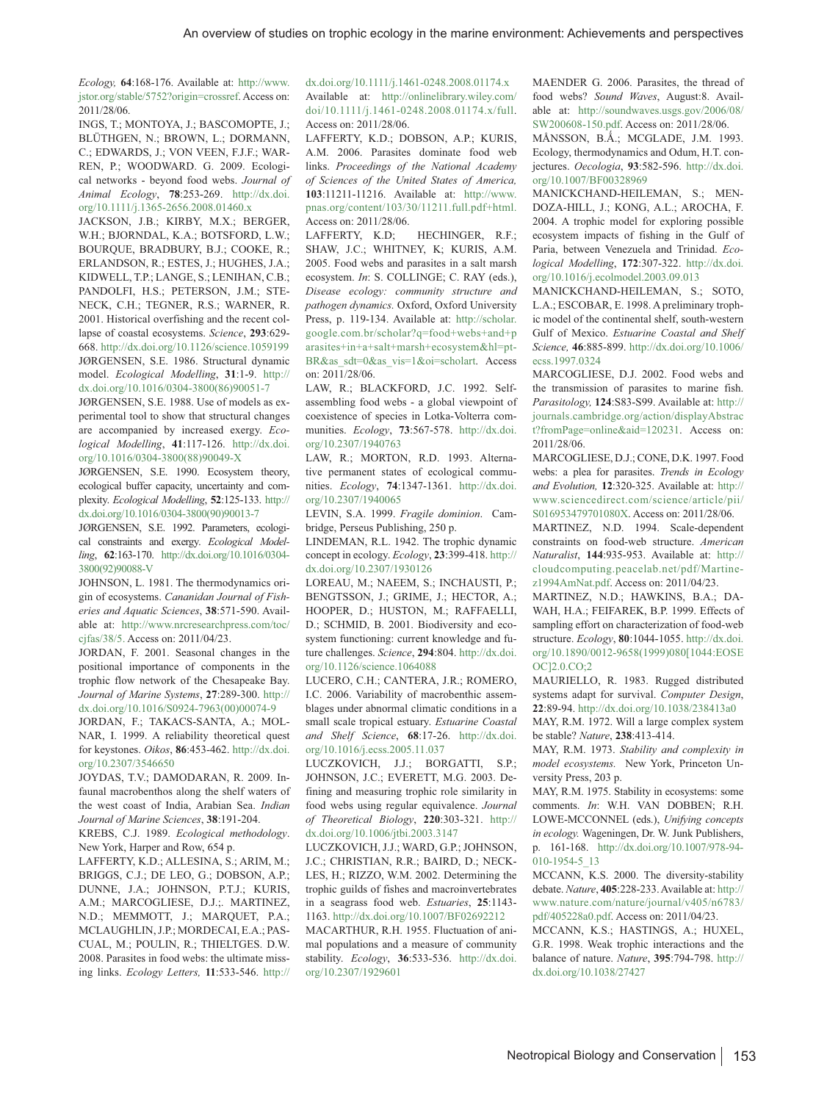*Ecology,* **64**:168-176. Available at: http://www. jstor.org/stable/5752?origin=crossref. Access on: 2011/28/06.

INGS, T.; MONTOYA, J.; BASCOMOPTE, J.; BLÜTHGEN, N.; BROWN, L.; DORMANN, C.; EDWARDS, J.; VON VEEN, F.J.F.; WAR-REN, P.; WOODWARD. G. 2009. Ecological networks - beyond food webs. *Journal of Animal Ecology*, **78**:253-269. http://dx.doi. org/10.1111/j.1365-2656.2008.01460.x

JACKSON, J.B.; KIRBY, M.X.; BERGER, W.H.; BJORNDAL, K.A.; BOTSFORD, L.W.; BOURQUE, BRADBURY, B.J.; COOKE, R.; ERLANDSON, R.; ESTES, J.; HUGHES, J.A.; KIDWELL, T.P.; LANGE, S.; LENIHAN, C.B.; PANDOLFI, H.S.; PETERSON, J.M.; STE-NECK, C.H.; TEGNER, R.S.; WARNER, R. 2001. Historical overfishing and the recent collapse of coastal ecosystems. *Science*, **293**:629- 668. http://dx.doi.org/10.1126/science.1059199 JØRGENSEN, S.E. 1986. Structural dynamic model. *Ecological Modelling*, **31**:1-9. http:// dx.doi.org/10.1016/0304-3800(86)90051-7

JØRGENSEN, S.E. 1988. Use of models as experimental tool to show that structural changes are accompanied by increased exergy. *Ecological Modelling*, **41**:117-126. http://dx.doi. org/10.1016/0304-3800(88)90049-X

JØRGENSEN, S.E. 1990. Ecosystem theory, ecological buffer capacity, uncertainty and complexity. *Ecological Modelling*, **52**:125-133. http:// dx.doi.org/10.1016/0304-3800(90)90013-7

JØRGENSEN, S.E. 1992. Parameters, ecological constraints and exergy. *Ecological Modelling*, **62**:163-170. http://dx.doi.org/10.1016/0304- 3800(92)90088-V

JOHNSON, L. 1981. The thermodynamics origin of ecosystems. *Cananidan Journal of Fisheries and Aquatic Sciences*, **38**:571-590. Available at: http://www.nrcresearchpress.com/toc/ cjfas/38/5. Access on: 2011/04/23.

JORDAN, F. 2001. Seasonal changes in the positional importance of components in the trophic flow network of the Chesapeake Bay. *Journal of Marine Systems*, **27**:289-300. http:// dx.doi.org/10.1016/S0924-7963(00)00074-9

JORDAN, F.; TAKACS-SANTA, A.; MOL-NAR, I. 1999. A reliability theoretical quest for keystones. *Oikos*, **86**:453-462. http://dx.doi. org/10.2307/3546650

JOYDAS, T.V.; DAMODARAN, R. 2009. Infaunal macrobenthos along the shelf waters of the west coast of India, Arabian Sea. *Indian Journal of Marine Sciences*, **38**:191-204.

KREBS, C.J. 1989. *Ecological methodology*. New York, Harper and Row, 654 p.

LAFFERTY, K.D.; ALLESINA, S.; ARIM, M.; BRIGGS, C.J.; DE LEO, G.; DOBSON, A.P.; DUNNE, J.A.; JOHNSON, P.T.J.; KURIS, A.M.; MARCOGLIESE, D.J.;. MARTINEZ, N.D.; MEMMOTT, J.; MARQUET, P.A.; MCLAUGHLIN, J.P.; MORDECAI, E.A.; PAS-CUAL, M.; POULIN, R.; THIELTGES. D.W. 2008. Parasites in food webs: the ultimate missing links. *Ecology Letters,* **11**:533-546. http://

#### dx.doi.org/10.1111/j.1461-0248.2008.01174.x Available at: http://onlinelibrary.wiley.com/ doi/10.1111/j.1461-0248.2008.01174.x/full. Access on: 2011/28/06.

LAFFERTY, K.D.; DOBSON, A.P.; KURIS, A.M. 2006. Parasites dominate food web links. *Proceedings of the National Academy of Sciences of the United States of America,* **103**:11211-11216. Available at: http://www. pnas.org/content/103/30/11211.full.pdf+html. Access on: 2011/28/06.

LAFFERTY, K.D; HECHINGER, R.F.; SHAW, J.C.; WHITNEY, K; KURIS, A.M. 2005. Food webs and parasites in a salt marsh ecosystem. *In*: S. COLLINGE; C. RAY (eds.), *Disease ecology: community structure and pathogen dynamics.* Oxford, Oxford University Press, p. 119-134. Available at: http://scholar. google.com.br/scholar?q=food+webs+and+p arasites+in+a+salt+marsh+ecosystem&hl=pt-BR&as\_sdt=0&as\_vis=1&oi=scholart. Access on: 2011/28/06.

LAW, R.; BLACKFORD, J.C. 1992. Selfassembling food webs - a global viewpoint of coexistence of species in Lotka-Volterra communities. *Ecology*, **73**:567-578. http://dx.doi. org/10.2307/1940763

LAW, R.; MORTON, R.D. 1993. Alternative permanent states of ecological communities. *Ecology*, **74**:1347-1361. http://dx.doi. org/10.2307/1940065

LEVIN, S.A. 1999. *Fragile dominion*. Cambridge, Perseus Publishing, 250 p.

LINDEMAN, R.L. 1942. The trophic dynamic concept in ecology. *Ecology*, **23**:399-418. http:// dx.doi.org/10.2307/1930126

LOREAU, M.; NAEEM, S.; INCHAUSTI, P.; BENGTSSON, J.; GRIME, J.; HECTOR, A.; HOOPER, D.; HUSTON, M.; RAFFAELLI, D.; SCHMID, B. 2001. Biodiversity and ecosystem functioning: current knowledge and future challenges. *Science*, **294**:804. http://dx.doi. org/10.1126/science.1064088

LUCERO, C.H.; CANTERA, J.R.; ROMERO, I.C. 2006. Variability of macrobenthic assemblages under abnormal climatic conditions in a small scale tropical estuary. *Estuarine Coastal and Shelf Science*, **68**:17-26. http://dx.doi. org/10.1016/j.ecss.2005.11.037

LUCZKOVICH, J.J.; BORGATTI, S.P.; JOHNSON, J.C.; EVERETT, M.G. 2003. Defining and measuring trophic role similarity in food webs using regular equivalence. *Journal of Theoretical Biology*, **220**:303-321. http:// dx.doi.org/10.1006/jtbi.2003.3147

LUCZKOVICH, J.J.; WARD, G.P.; JOHNSON, J.C.; CHRISTIAN, R.R.; BAIRD, D.; NECK-LES, H.; RIZZO, W.M. 2002. Determining the trophic guilds of fishes and macroinvertebrates in a seagrass food web. *Estuaries*, **25**:1143- 1163. http://dx.doi.org/10.1007/BF02692212 MACARTHUR, R.H. 1955. Fluctuation of animal populations and a measure of community

stability. *Ecology*, **36**:533-536. http://dx.doi. org/10.2307/1929601

MAENDER G. 2006. Parasites, the thread of food webs? *Sound Waves*, August:8. Available at: http://soundwaves.usgs.gov/2006/08/ SW200608-150.pdf. Access on: 2011/28/06.

MÅNSSON, B.Å.; MCGLADE, J.M. 1993. Ecology, thermodynamics and Odum, H.T. conjectures. *Oecologia*, **93**:582-596. http://dx.doi. org/10.1007/BF00328969

MANICKCHAND-HEILEMAN, S.; MEN-DOZA-HILL, J.; KONG, A.L.; AROCHA, F. 2004. A trophic model for exploring possible ecosystem impacts of fishing in the Gulf of Paria, between Venezuela and Trinidad. *Ecological Modelling*, **172**:307-322. http://dx.doi. org/10.1016/j.ecolmodel.2003.09.013

MANICKCHAND-HEILEMAN, S.; SOTO, L.A.; ESCOBAR, E. 1998. A preliminary trophic model of the continental shelf, south-western Gulf of Mexico. *Estuarine Coastal and Shelf Science,* **46**:885-899. http://dx.doi.org/10.1006/ ecss.1997.0324

MARCOGLIESE, D.J. 2002. Food webs and the transmission of parasites to marine fish. *Parasitology,* **124**:S83-S99. Available at: http:// journals.cambridge.org/action/displayAbstrac t?fromPage=online&aid=120231. Access on: 2011/28/06.

MARCOGLIESE, D.J.; CONE, D.K. 1997. Food webs: a plea for parasites. *Trends in Ecology and Evolution,* **12**:320-325. Available at: http:// www.sciencedirect.com/science/article/pii/ S016953479701080X. Access on: 2011/28/06.

MARTINEZ, N.D. 1994. Scale-dependent constraints on food-web structure. *American Naturalist*, **144**:935-953. Available at: http:// cloudcomputing.peacelab.net/pdf/Martinez1994AmNat.pdf. Access on: 2011/04/23.

MARTINEZ, N.D.; HAWKINS, B.A.; DA-WAH, H.A.; FEIFAREK, B.P. 1999. Effects of sampling effort on characterization of food-web structure. *Ecology*, **80**:1044-1055. http://dx.doi. org/10.1890/0012-9658(1999)080[1044:EOSE OC]2.0.CO;2

MAURIELLO, R. 1983. Rugged distributed systems adapt for survival. *Computer Design*, **22**:89-94. http://dx.doi.org/10.1038/238413a0

MAY, R.M. 1972. Will a large complex system be stable? *Nature*, **238**:413-414.

MAY, R.M. 1973. *Stability and complexity in model ecosystems.* New York, Princeton Unversity Press, 203 p.

MAY, R.M. 1975. Stability in ecosystems: some comments. *In*: W.H. VAN DOBBEN; R.H. LOWE-MCCONNEL (eds.), *Unifying concepts in ecology.* Wageningen, Dr. W. Junk Publishers, p. 161-168. http://dx.doi.org/10.1007/978-94- 010-1954-5\_13

MCCANN, K.S. 2000. The diversity-stability debate. *Nature*, **405**:228-233. Available at: http:// www.nature.com/nature/journal/v405/n6783/ pdf/405228a0.pdf. Access on: 2011/04/23.

MCCANN, K.S.; HASTINGS, A.; HUXEL, G.R. 1998. Weak trophic interactions and the balance of nature. *Nature*, **395**:794-798. http:// dx.doi.org/10.1038/27427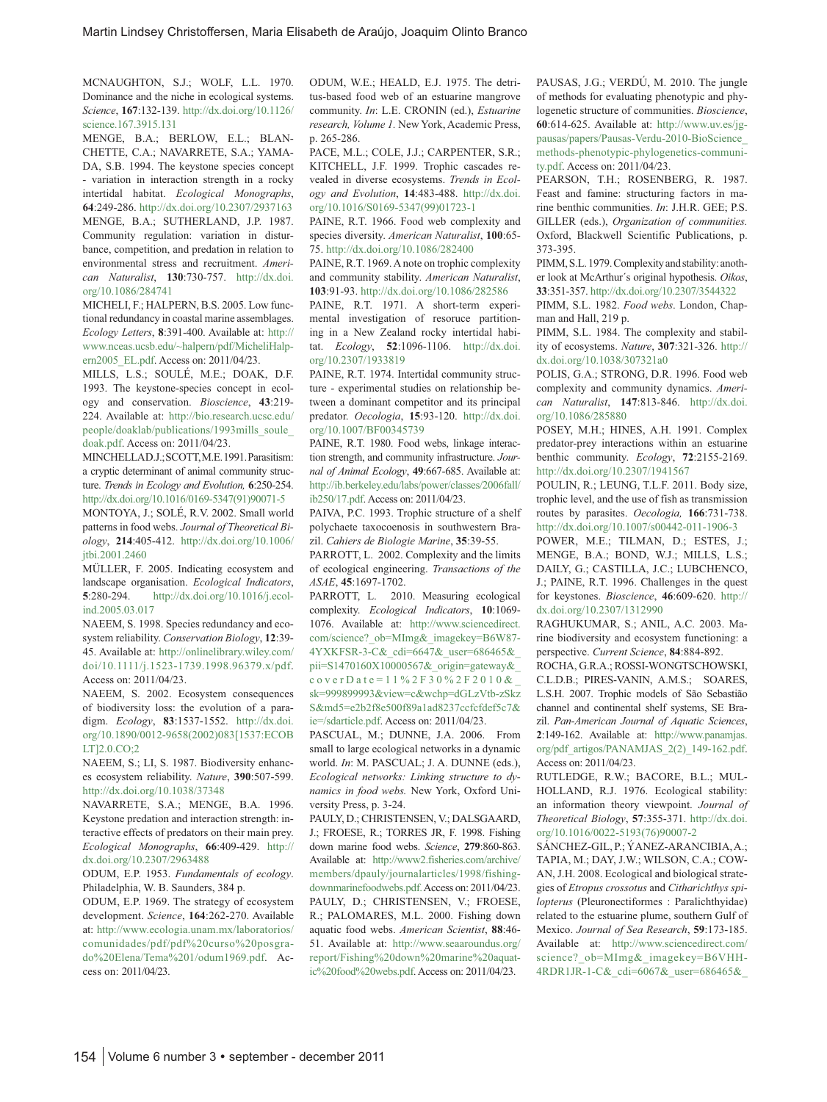MCNAUGHTON, S.J.; WOLF, L.L. 1970. Dominance and the niche in ecological systems. *Science*, **167**:132-139. http://dx.doi.org/10.1126/ science.167.3915.131

MENGE, B.A.; BERLOW, E.L.; BLAN-CHETTE, C.A.; NAVARRETE, S.A.; YAMA-DA, S.B. 1994. The keystone species concept - variation in interaction strength in a rocky intertidal habitat. *Ecological Monographs*, **64**:249-286. http://dx.doi.org/10.2307/2937163 MENGE, B.A.; SUTHERLAND, J.P. 1987. Community regulation: variation in disturbance, competition, and predation in relation to environmental stress and recruitment. *American Naturalist*, **130**:730-757. http://dx.doi. org/10.1086/284741

MICHELI, F.; HALPERN, B.S. 2005. Low functional redundancy in coastal marine assemblages. *Ecology Letters*, **8**:391-400. Available at: http:// www.nceas.ucsb.edu/~halpern/pdf/MicheliHalpern2005\_EL.pdf. Access on: 2011/04/23.

MILLS, L.S.; SOULÉ, M.E.; DOAK, D.F. 1993. The keystone-species concept in ecology and conservation. *Bioscience*, **43**:219- 224. Available at: http://bio.research.ucsc.edu/ people/doaklab/publications/1993mills\_soule\_ doak.pdf. Access on: 2011/04/23.

MINCHELLA D.J.; SCOTT, M.E. 1991. Parasitism: a cryptic determinant of animal community structure. *Trends in Ecology and Evolution,* **6**:250-254. http://dx.doi.org/10.1016/0169-5347(91)90071-5 MONTOYA, J.; SOLÉ, R.V. 2002. Small world patterns in food webs. *Journal of Theoretical Biology*, **214**:405-412. http://dx.doi.org/10.1006/

jtbi.2001.2460 MÜLLER, F. 2005. Indicating ecosystem and landscape organisation. *Ecological Indicators*, **5**:280-294. http://dx.doi.org/10.1016/j.ecolind.2005.03.017

NAEEM, S. 1998. Species redundancy and ecosystem reliability. *Conservation Biology*, **12**:39- 45. Available at: http://onlinelibrary.wiley.com/ doi/10.1111/j.1523-1739.1998.96379.x/pdf. Access on: 2011/04/23.

NAEEM, S. 2002. Ecosystem consequences of biodiversity loss: the evolution of a paradigm. *Ecology*, **83**:1537-1552. http://dx.doi. org/10.1890/0012-9658(2002)083[1537:ECOB LT]2.0.CO;2

NAEEM, S.; LI, S. 1987. Biodiversity enhances ecosystem reliability. *Nature*, **390**:507-599. http://dx.doi.org/10.1038/37348

NAVARRETE, S.A.; MENGE, B.A. 1996. Keystone predation and interaction strength: interactive effects of predators on their main prey. *Ecological Monographs*, **66**:409-429. http:// dx.doi.org/10.2307/2963488

ODUM, E.P. 1953. *Fundamentals of ecology*. Philadelphia, W. B. Saunders, 384 p.

ODUM, E.P. 1969. The strategy of ecosystem development. *Science*, **164**:262-270. Available at: http://www.ecologia.unam.mx/laboratorios/ comunidades/pdf/pdf%20curso%20posgrado%20Elena/Tema%201/odum1969.pdf. Access on: 2011/04/23.

ODUM, W.E.; HEALD, E.J. 1975. The detritus-based food web of an estuarine mangrove community. *In*: L.E. CRONIN (ed.), *Estuarine research, Volume 1.* New York, Academic Press, p. 265-286.

PACE, M.L.; COLE, J.J.; CARPENTER, S.R.; KITCHELL, J.F. 1999. Trophic cascades revealed in diverse ecosystems. *Trends in Ecology and Evolution*, **14**:483-488. http://dx.doi. org/10.1016/S0169-5347(99)01723-1

PAINE, R.T. 1966. Food web complexity and species diversity. *American Naturalist*, **100**:65- 75. http://dx.doi.org/10.1086/282400

PAINE, R.T. 1969. A note on trophic complexity and community stability. *American Naturalist*, **103**:91-93. http://dx.doi.org/10.1086/282586

PAINE, R.T. 1971. A short-term experimental investigation of resoruce partitioning in a New Zealand rocky intertidal habitat. *Ecology*, **52**:1096-1106. http://dx.doi. org/10.2307/1933819

PAINE, R.T. 1974. Intertidal community structure - experimental studies on relationship between a dominant competitor and its principal predator. *Oecologia*, **15**:93-120. http://dx.doi. org/10.1007/BF00345739

PAINE, R.T. 1980. Food webs, linkage interaction strength, and community infrastructure. *Journal of Animal Ecology*, **49**:667-685. Available at: http://ib.berkeley.edu/labs/power/classes/2006fall/ ib250/17.pdf. Access on: 2011/04/23.

PAIVA, P.C. 1993. Trophic structure of a shelf polychaete taxocoenosis in southwestern Brazil. *Cahiers de Biologie Marine*, **35**:39-55.

PARROTT, L. 2002. Complexity and the limits of ecological engineering. *Transactions of the ASAE*, **45**:1697-1702.

PARROTT, L. 2010. Measuring ecological complexity. *Ecological Indicators*, **10**:1069- 1076. Available at: http://www.sciencedirect. com/science?\_ob=MImg&\_imagekey=B6W87- 4YXKFSR-3-C&\_cdi=6647&\_user=686465&\_ pii=S1470160X10000567&\_origin=gateway&\_ coverDate=11%2F30%2F2010& sk=999899993&view=c&wchp=dGLzVtb-zSkz S&md5=e2b2f8e500f89a1ad8237ccfcfdef5c7& ie=/sdarticle.pdf. Access on: 2011/04/23.

PASCUAL, M.; DUNNE, J.A. 2006. From small to large ecological networks in a dynamic world. *In*: M. PASCUAL; J. A. DUNNE (eds.), *Ecological networks: Linking structure to dynamics in food webs.* New York, Oxford University Press, p. 3-24.

PAULY, D.; CHRISTENSEN, V.; DALSGAARD, J.; FROESE, R.; TORRES JR, F. 1998. Fishing down marine food webs. *Science*, **279**:860-863. Available at: http://www2.fisheries.com/archive/ members/dpauly/journalarticles/1998/fishingdownmarinefoodwebs.pdf. Access on: 2011/04/23. PAULY, D.; CHRISTENSEN, V.; FROESE, R.; PALOMARES, M.L. 2000. Fishing down aquatic food webs. *American Scientist*, **88**:46- 51. Available at: http://www.seaaroundus.org/ report/Fishing%20down%20marine%20aquatic%20food%20webs.pdf. Access on: 2011/04/23.

PAUSAS, J.G.; VERDÚ, M. 2010. The jungle of methods for evaluating phenotypic and phylogenetic structure of communities. *Bioscience*, **60**:614-625. Available at: http://www.uv.es/jgpausas/papers/Pausas-Verdu-2010-BioScience\_ methods-phenotypic-phylogenetics-community.pdf. Access on: 2011/04/23.

PEARSON, T.H.; ROSENBERG, R. 1987. Feast and famine: structuring factors in marine benthic communities. *In*: J.H.R. GEE; P.S. GILLER (eds.), *Organization of communities.* Oxford, Blackwell Scientific Publications, p. 373-395.

PIMM, S.L. 1979. Complexity and stability: another look at McArthur´s original hypothesis. *Oikos*, **33**:351-357. http://dx.doi.org/10.2307/3544322

PIMM, S.L. 1982. *Food webs*. London, Chapman and Hall, 219 p.

PIMM, S.L. 1984. The complexity and stability of ecosystems. *Nature*, **307**:321-326. http:// dx.doi.org/10.1038/307321a0

POLIS, G.A.; STRONG, D.R. 1996. Food web complexity and community dynamics. *American Naturalist*, **147**:813-846. http://dx.doi. org/10.1086/285880

POSEY, M.H.; HINES, A.H. 1991. Complex predator-prey interactions within an estuarine benthic community. *Ecology*, **72**:2155-2169. http://dx.doi.org/10.2307/1941567

POULIN, R.; LEUNG, T.L.F. 2011. Body size, trophic level, and the use of fish as transmission routes by parasites. *Oecologia,* **166**:731-738. http://dx.doi.org/10.1007/s00442-011-1906-3

POWER, M.E.; TILMAN, D.; ESTES, J.; MENGE, B.A.; BOND, W.J.; MILLS, L.S.; DAILY, G.; CASTILLA, J.C.; LUBCHENCO, J.; PAINE, R.T. 1996. Challenges in the quest for keystones. *Bioscience*, **46**:609-620. http:// dx.doi.org/10.2307/1312990

RAGHUKUMAR, S.; ANIL, A.C. 2003. Marine biodiversity and ecosystem functioning: a perspective. *Current Science*, **84**:884-892.

ROCHA, G.R.A.; ROSSI-WONGTSCHOWSKI, C.L.D.B.; PIRES-VANIN, A.M.S.; SOARES, L.S.H. 2007. Trophic models of São Sebastião channel and continental shelf systems, SE Brazil. *Pan-American Journal of Aquatic Sciences*, **2**:149-162. Available at: http://www.panamjas. org/pdf\_artigos/PANAMJAS\_2(2)\_149-162.pdf. Access on: 2011/04/23.

RUTLEDGE, R.W.; BACORE, B.L.; MUL-HOLLAND, R.J. 1976. Ecological stability: an information theory viewpoint. *Journal of Theoretical Biology*, **57**:355-371. http://dx.doi. org/10.1016/0022-5193(76)90007-2

SÁNCHEZ-GIL, P.; ÝANEZ-ARANCIBIA, A.; TAPIA, M.; DAY, J.W.; WILSON, C.A.; COW-AN, J.H. 2008. Ecological and biological strategies of *Etropus crossotus* and *Citharichthys spilopterus* (Pleuronectiformes : Paralichthyidae) related to the estuarine plume, southern Gulf of Mexico. *Journal of Sea Research*, **59**:173-185. Available at: http://www.sciencedirect.com/ science?\_ob=MImg&\_imagekey=B6VHH-4RDR1JR-1-C&\_cdi=6067&\_user=686465&\_